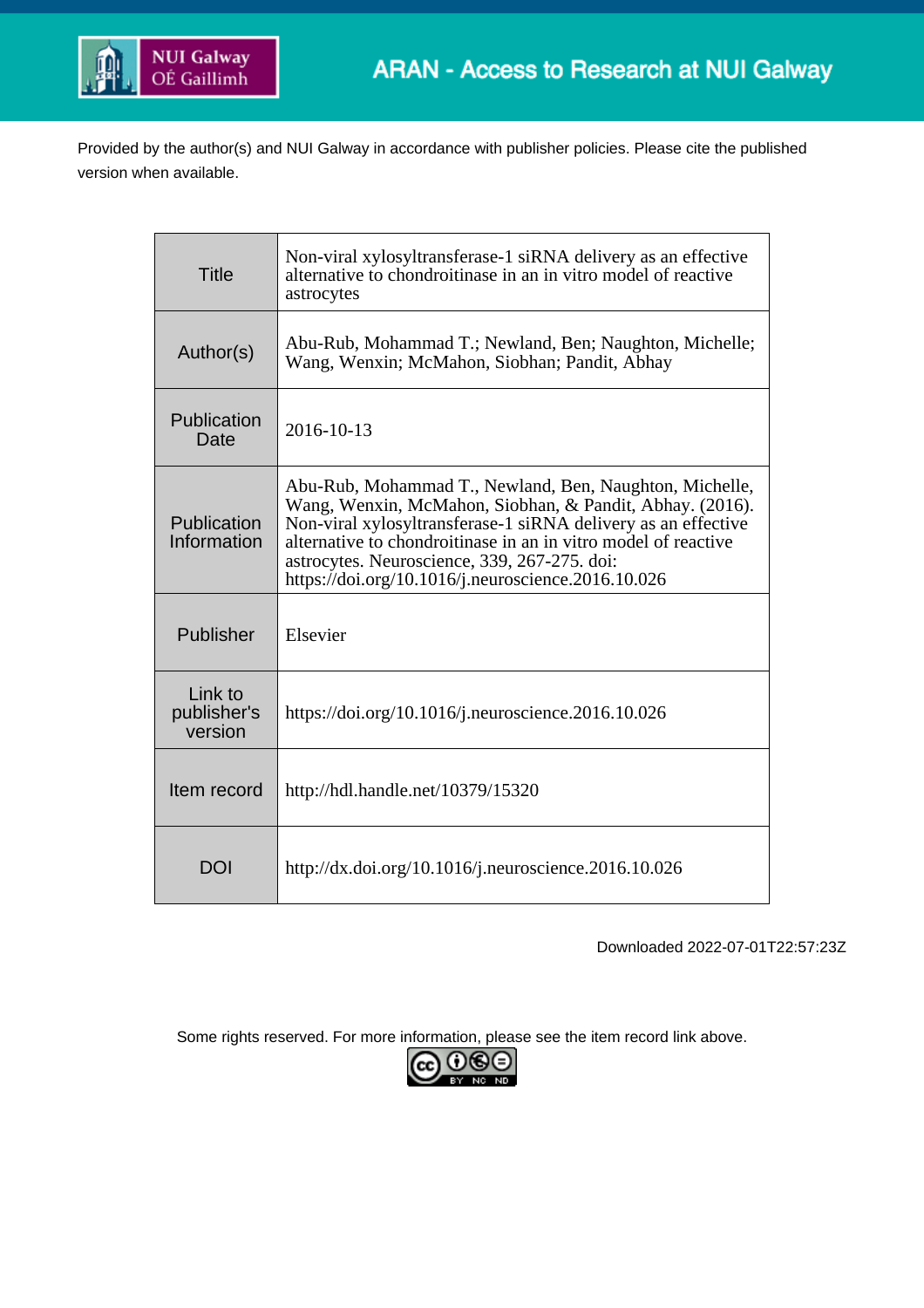

Provided by the author(s) and NUI Galway in accordance with publisher policies. Please cite the published version when available.

| <b>Title</b>                      | Non-viral xylosyltransferase-1 siRNA delivery as an effective<br>alternative to chondroitinase in an in vitro model of reactive<br>astrocytes                                                                                                                                                                                                                |
|-----------------------------------|--------------------------------------------------------------------------------------------------------------------------------------------------------------------------------------------------------------------------------------------------------------------------------------------------------------------------------------------------------------|
| Author(s)                         | Abu-Rub, Mohammad T.; Newland, Ben; Naughton, Michelle;<br>Wang, Wenxin; McMahon, Siobhan; Pandit, Abhay                                                                                                                                                                                                                                                     |
| Publication<br>Date               | 2016-10-13                                                                                                                                                                                                                                                                                                                                                   |
| Publication<br>Information        | Abu-Rub, Mohammad T., Newland, Ben, Naughton, Michelle,<br>Wang, Wenxin, McMahon, Siobhan, & Pandit, Abhay. (2016).<br>Non-viral xylosyltransferase-1 siRNA delivery as an effective<br>alternative to chondroitinase in an in vitro model of reactive<br>astrocytes. Neuroscience, 339, 267-275. doi:<br>https://doi.org/10.1016/j.neuroscience.2016.10.026 |
| Publisher                         | Elsevier                                                                                                                                                                                                                                                                                                                                                     |
| Link to<br>publisher's<br>version | https://doi.org/10.1016/j.neuroscience.2016.10.026                                                                                                                                                                                                                                                                                                           |
| Item record                       | http://hdl.handle.net/10379/15320                                                                                                                                                                                                                                                                                                                            |
| DOI                               | http://dx.doi.org/10.1016/j.neuroscience.2016.10.026                                                                                                                                                                                                                                                                                                         |

Downloaded 2022-07-01T22:57:23Z

Some rights reserved. For more information, please see the item record link above.

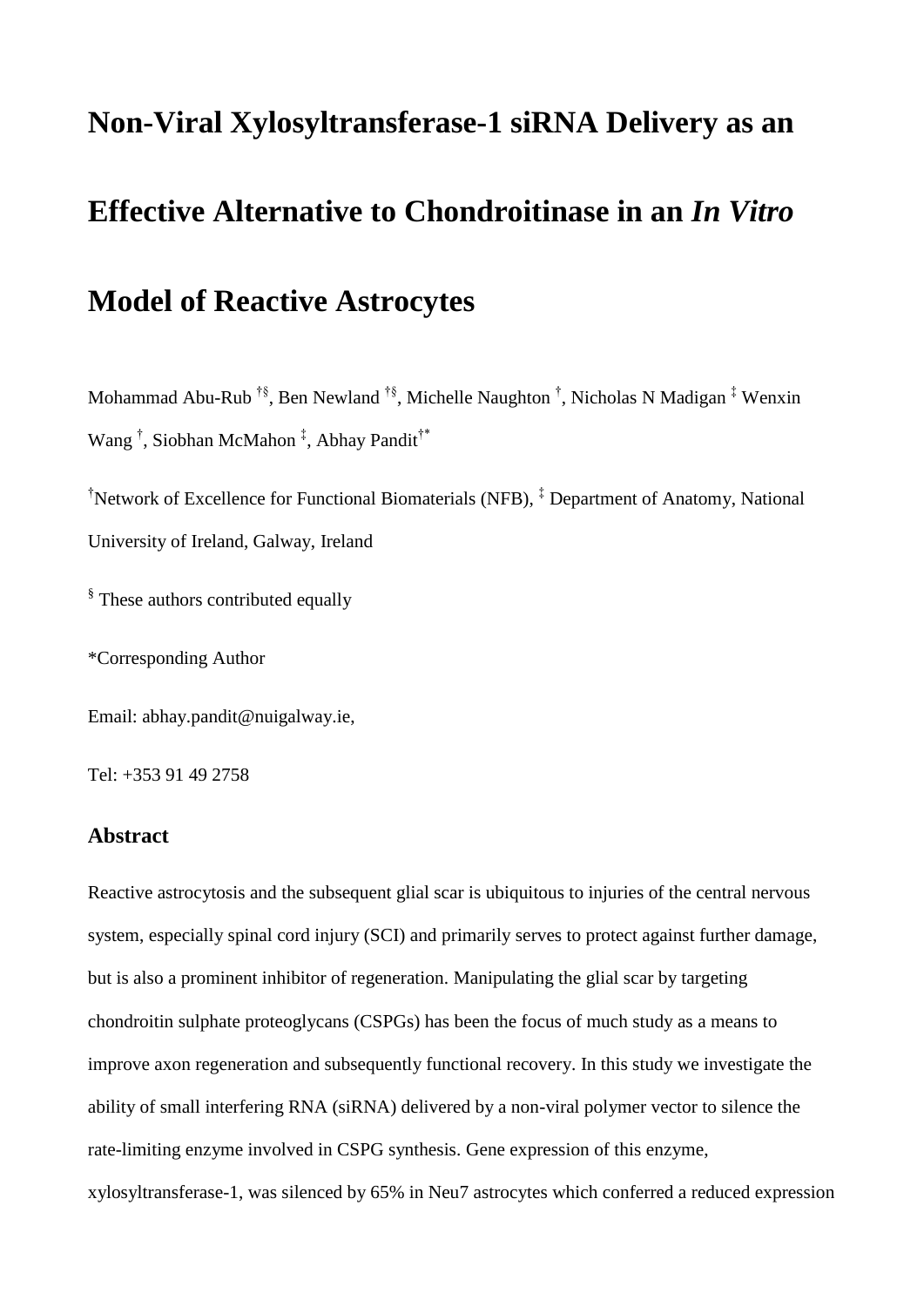# **Non-Viral Xylosyltransferase-1 siRNA Delivery as an Effective Alternative to Chondroitinase in an** *In Vitro* **Model of Reactive Astrocytes**

Mohammad Abu-Rub  $^{\dagger \S}$ , Ben Newland  $^{\dagger \S}$ , Michelle Naughton  $^{\dagger}$ , Nicholas N Madigan  $^{\ddagger}$  Wenxin Wang<sup>†</sup>, Siobhan McMahon<sup>‡</sup>, Abhay Pandit<sup>†\*</sup>

†Network of Excellence for Functional Biomaterials (NFB), ‡ Department of Anatomy, National University of Ireland, Galway, Ireland

<sup>§</sup> These authors contributed equally

\*Corresponding Author

Email: abhay.pandit@nuigalway.ie,

Tel: +353 91 49 2758

#### **Abstract**

Reactive astrocytosis and the subsequent glial scar is ubiquitous to injuries of the central nervous system, especially spinal cord injury (SCI) and primarily serves to protect against further damage, but is also a prominent inhibitor of regeneration. Manipulating the glial scar by targeting chondroitin sulphate proteoglycans (CSPGs) has been the focus of much study as a means to improve axon regeneration and subsequently functional recovery. In this study we investigate the ability of small interfering RNA (siRNA) delivered by a non-viral polymer vector to silence the rate-limiting enzyme involved in CSPG synthesis. Gene expression of this enzyme, xylosyltransferase-1, was silenced by 65% in Neu7 astrocytes which conferred a reduced expression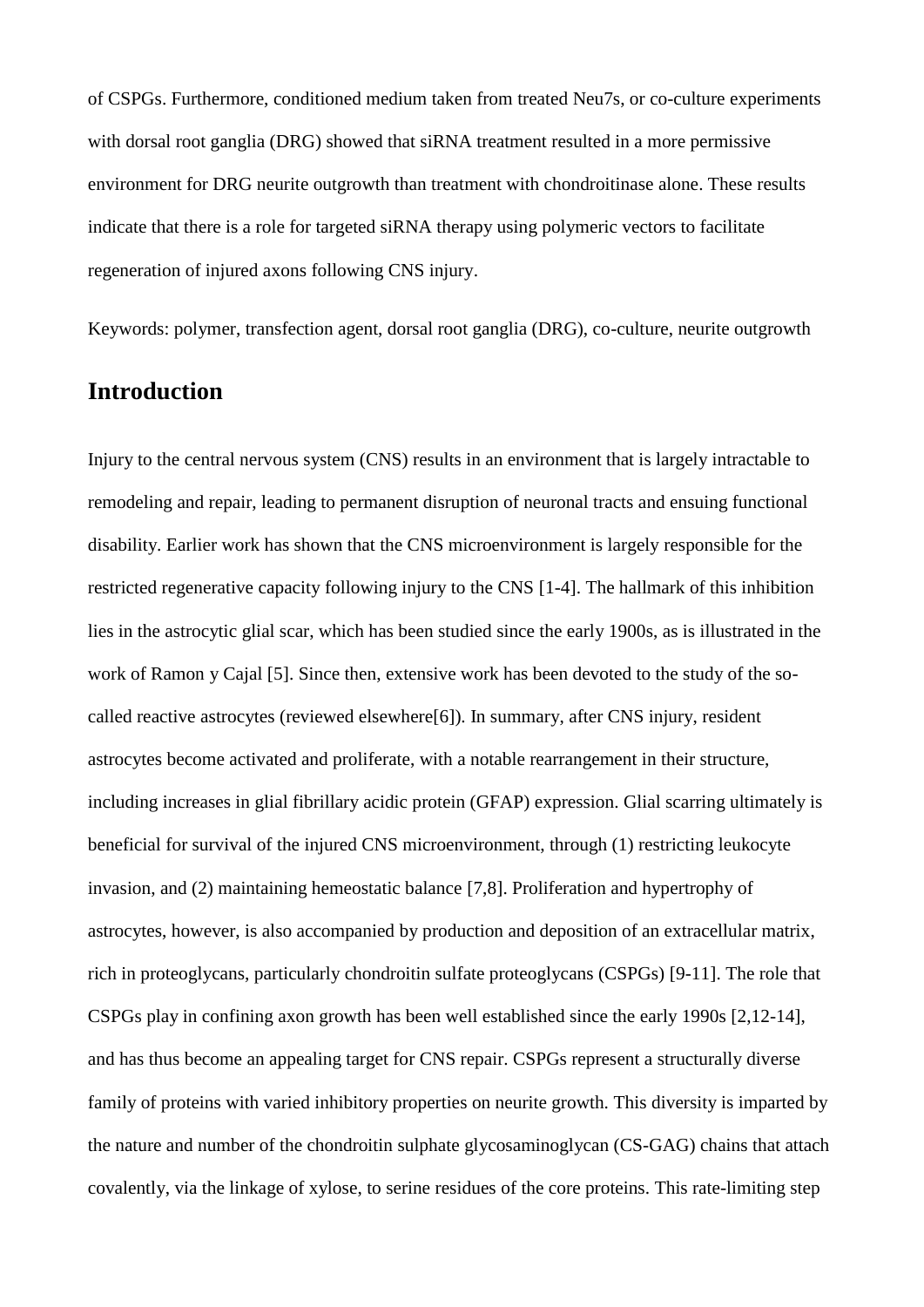of CSPGs. Furthermore, conditioned medium taken from treated Neu7s, or co-culture experiments with dorsal root ganglia (DRG) showed that siRNA treatment resulted in a more permissive environment for DRG neurite outgrowth than treatment with chondroitinase alone. These results indicate that there is a role for targeted siRNA therapy using polymeric vectors to facilitate regeneration of injured axons following CNS injury.

Keywords: polymer, transfection agent, dorsal root ganglia (DRG), co-culture, neurite outgrowth

## **Introduction**

Injury to the central nervous system (CNS) results in an environment that is largely intractable to remodeling and repair, leading to permanent disruption of neuronal tracts and ensuing functional disability. Earlier work has shown that the CNS microenvironment is largely responsible for the restricted regenerative capacity following injury to the CNS [1-4]. The hallmark of this inhibition lies in the astrocytic glial scar, which has been studied since the early 1900s, as is illustrated in the work of Ramon y Cajal [5]. Since then, extensive work has been devoted to the study of the socalled reactive astrocytes (reviewed elsewhere[6]). In summary, after CNS injury, resident astrocytes become activated and proliferate, with a notable rearrangement in their structure, including increases in glial fibrillary acidic protein (GFAP) expression. Glial scarring ultimately is beneficial for survival of the injured CNS microenvironment, through (1) restricting leukocyte invasion, and (2) maintaining hemeostatic balance [7,8]. Proliferation and hypertrophy of astrocytes, however, is also accompanied by production and deposition of an extracellular matrix, rich in proteoglycans, particularly chondroitin sulfate proteoglycans (CSPGs) [9-11]. The role that CSPGs play in confining axon growth has been well established since the early 1990s [2,12-14], and has thus become an appealing target for CNS repair. CSPGs represent a structurally diverse family of proteins with varied inhibitory properties on neurite growth. This diversity is imparted by the nature and number of the chondroitin sulphate glycosaminoglycan (CS-GAG) chains that attach covalently, via the linkage of xylose, to serine residues of the core proteins. This rate-limiting step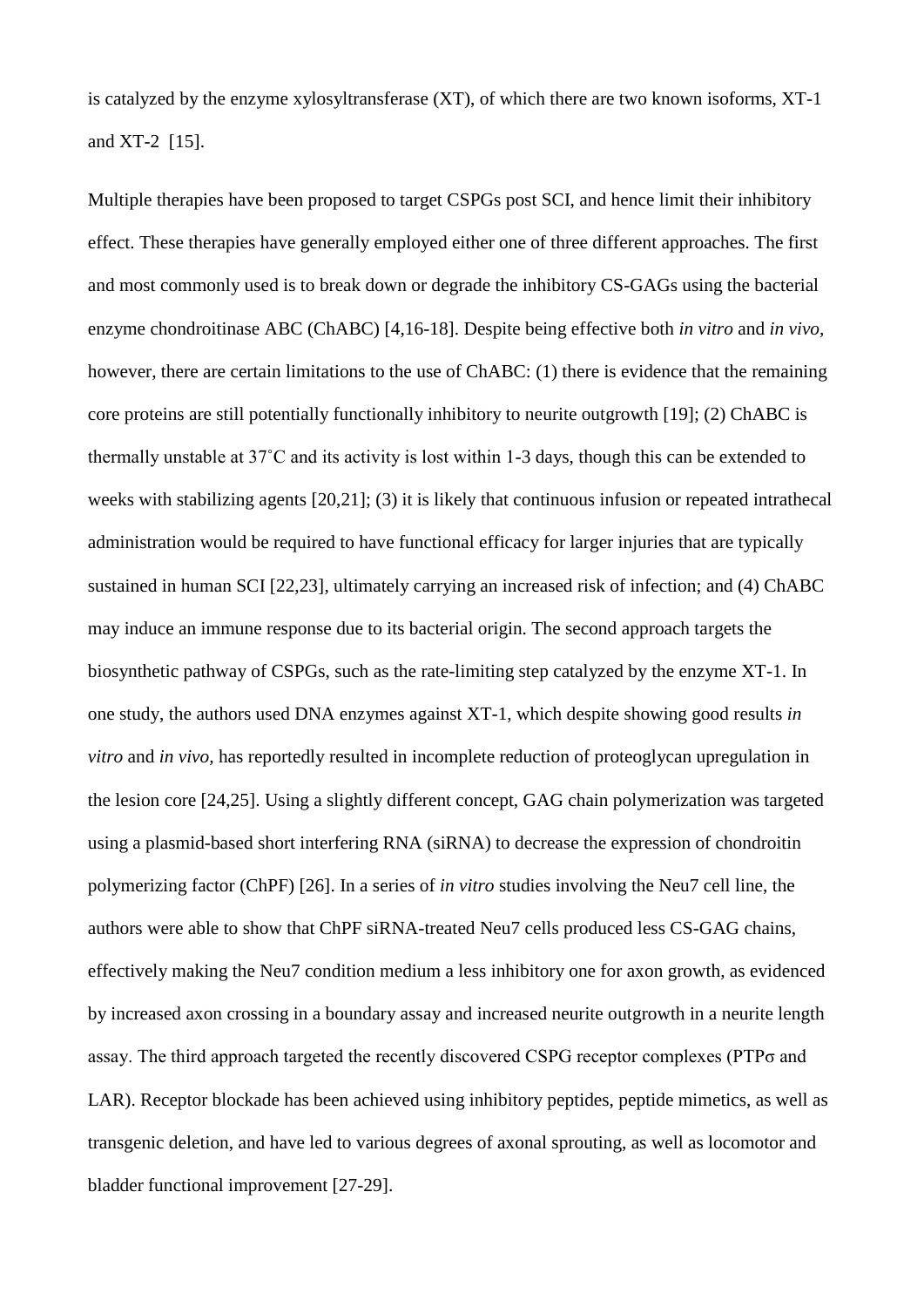is catalyzed by the enzyme xylosyltransferase (XT), of which there are two known isoforms, XT-1 and XT-2 [15].

Multiple therapies have been proposed to target CSPGs post SCI, and hence limit their inhibitory effect. These therapies have generally employed either one of three different approaches. The first and most commonly used is to break down or degrade the inhibitory CS-GAGs using the bacterial enzyme chondroitinase ABC (ChABC) [4,16-18]. Despite being effective both *in vitro* and *in vivo,* however, there are certain limitations to the use of ChABC: (1) there is evidence that the remaining core proteins are still potentially functionally inhibitory to neurite outgrowth [19]; (2) ChABC is thermally unstable at 37˚C and its activity is lost within 1-3 days, though this can be extended to weeks with stabilizing agents [20,21]; (3) it is likely that continuous infusion or repeated intrathecal administration would be required to have functional efficacy for larger injuries that are typically sustained in human SCI [22,23], ultimately carrying an increased risk of infection; and (4) ChABC may induce an immune response due to its bacterial origin. The second approach targets the biosynthetic pathway of CSPGs, such as the rate-limiting step catalyzed by the enzyme XT-1. In one study, the authors used DNA enzymes against XT-1, which despite showing good results *in vitro* and *in vivo,* has reportedly resulted in incomplete reduction of proteoglycan upregulation in the lesion core [24,25]. Using a slightly different concept, GAG chain polymerization was targeted using a plasmid-based short interfering RNA (siRNA) to decrease the expression of chondroitin polymerizing factor (ChPF) [26]. In a series of *in vitro* studies involving the Neu7 cell line, the authors were able to show that ChPF siRNA-treated Neu7 cells produced less CS-GAG chains, effectively making the Neu7 condition medium a less inhibitory one for axon growth, as evidenced by increased axon crossing in a boundary assay and increased neurite outgrowth in a neurite length assay. The third approach targeted the recently discovered CSPG receptor complexes (PTPσ and LAR). Receptor blockade has been achieved using inhibitory peptides, peptide mimetics, as well as transgenic deletion, and have led to various degrees of axonal sprouting, as well as locomotor and bladder functional improvement [27-29].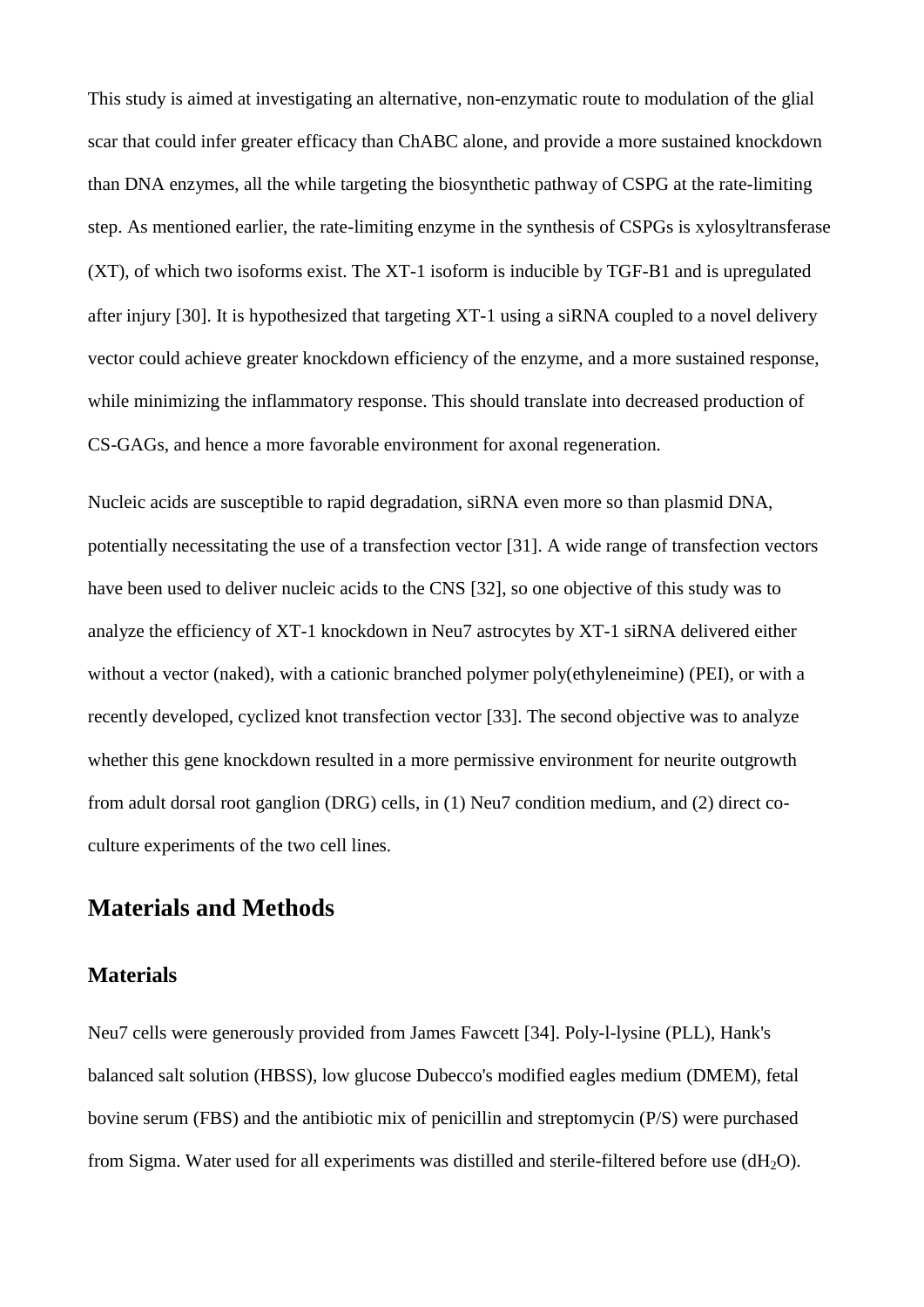This study is aimed at investigating an alternative, non-enzymatic route to modulation of the glial scar that could infer greater efficacy than ChABC alone, and provide a more sustained knockdown than DNA enzymes, all the while targeting the biosynthetic pathway of CSPG at the rate-limiting step. As mentioned earlier, the rate-limiting enzyme in the synthesis of CSPGs is xylosyltransferase  $(XT)$ , of which two isoforms exist. The XT-1 isoform is inducible by TGF-B1 and is upregulated after injury [30]. It is hypothesized that targeting XT-1 using a siRNA coupled to a novel delivery vector could achieve greater knockdown efficiency of the enzyme, and a more sustained response, while minimizing the inflammatory response. This should translate into decreased production of CS-GAGs, and hence a more favorable environment for axonal regeneration.

Nucleic acids are susceptible to rapid degradation, siRNA even more so than plasmid DNA, potentially necessitating the use of a transfection vector [31]. A wide range of transfection vectors have been used to deliver nucleic acids to the CNS [32], so one objective of this study was to analyze the efficiency of XT-1 knockdown in Neu7 astrocytes by XT-1 siRNA delivered either without a vector (naked), with a cationic branched polymer poly(ethyleneimine) (PEI), or with a recently developed, cyclized knot transfection vector [33]. The second objective was to analyze whether this gene knockdown resulted in a more permissive environment for neurite outgrowth from adult dorsal root ganglion (DRG) cells, in (1) Neu7 condition medium, and (2) direct coculture experiments of the two cell lines.

## **Materials and Methods**

#### **Materials**

Neu7 cells were generously provided from James Fawcett [34]. Poly-l-lysine (PLL), Hank's balanced salt solution (HBSS), low glucose Dubecco's modified eagles medium (DMEM), fetal bovine serum (FBS) and the antibiotic mix of penicillin and streptomycin (P/S) were purchased from Sigma. Water used for all experiments was distilled and sterile-filtered before use  $(dH<sub>2</sub>O)$ .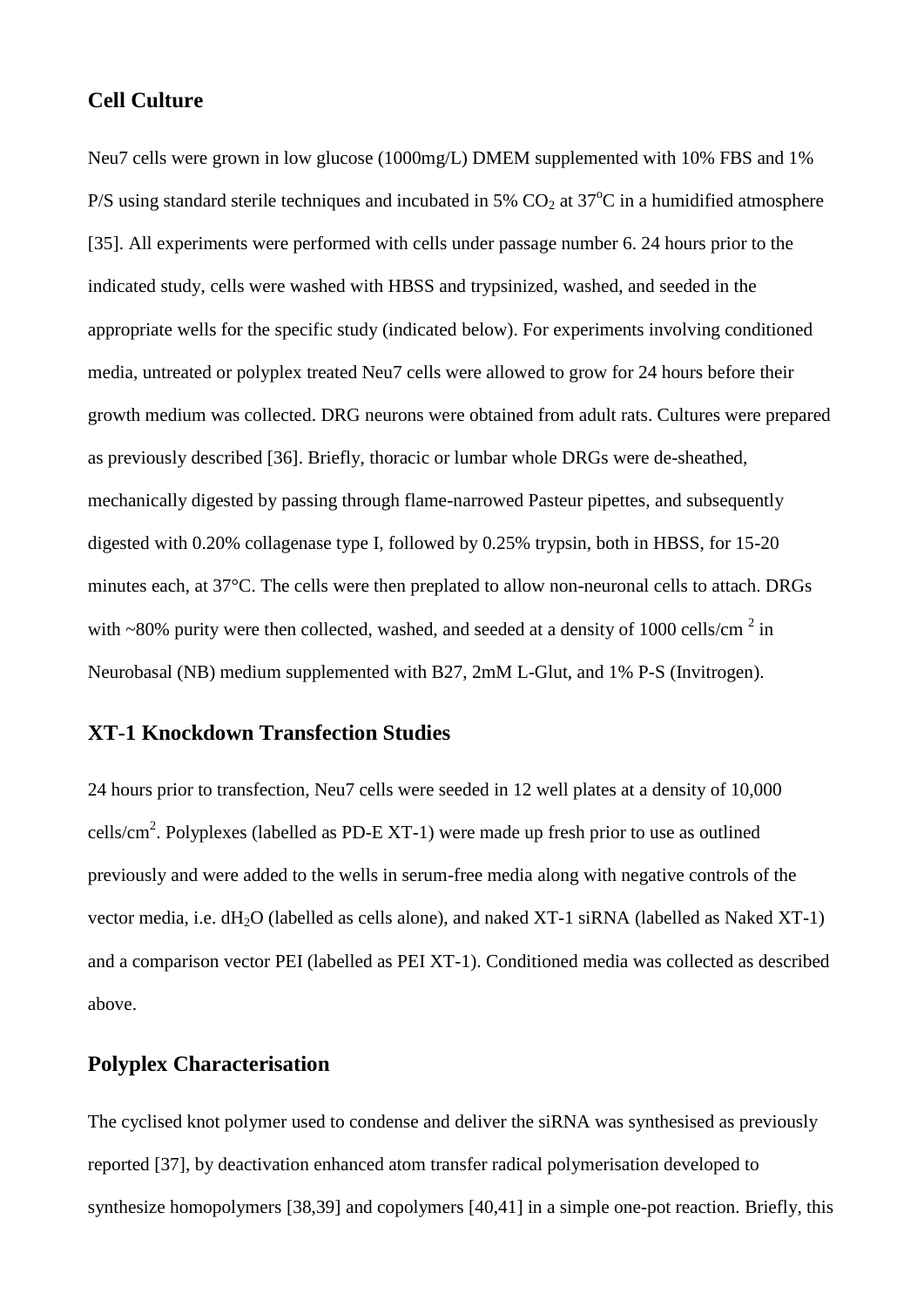#### **Cell Culture**

Neu7 cells were grown in low glucose (1000mg/L) DMEM supplemented with 10% FBS and 1% P/S using standard sterile techniques and incubated in 5%  $CO<sub>2</sub>$  at 37<sup>o</sup>C in a humidified atmosphere [35]. All experiments were performed with cells under passage number 6. 24 hours prior to the indicated study, cells were washed with HBSS and trypsinized, washed, and seeded in the appropriate wells for the specific study (indicated below). For experiments involving conditioned media, untreated or polyplex treated Neu7 cells were allowed to grow for 24 hours before their growth medium was collected. DRG neurons were obtained from adult rats. Cultures were prepared as previously described [36]. Briefly, thoracic or lumbar whole DRGs were de-sheathed, mechanically digested by passing through flame-narrowed Pasteur pipettes, and subsequently digested with 0.20% collagenase type I, followed by 0.25% trypsin, both in HBSS, for 15-20 minutes each, at 37°C. The cells were then preplated to allow non-neuronal cells to attach. DRGs with ~80% purity were then collected, washed, and seeded at a density of 1000 cells/cm<sup>2</sup> in Neurobasal (NB) medium supplemented with B27, 2mM L-Glut, and 1% P-S (Invitrogen).

#### **XT-1 Knockdown Transfection Studies**

24 hours prior to transfection, Neu7 cells were seeded in 12 well plates at a density of 10,000 cells/ $\text{cm}^2$ . Polyplexes (labelled as PD-E XT-1) were made up fresh prior to use as outlined previously and were added to the wells in serum-free media along with negative controls of the vector media, i.e. dH<sub>2</sub>O (labelled as cells alone), and naked XT-1 siRNA (labelled as Naked XT-1) and a comparison vector PEI (labelled as PEI XT-1). Conditioned media was collected as described above.

## **Polyplex Characterisation**

The cyclised knot polymer used to condense and deliver the siRNA was synthesised as previously reported [37], by deactivation enhanced atom transfer radical polymerisation developed to synthesize homopolymers [38,39] and copolymers [40,41] in a simple one-pot reaction. Briefly, this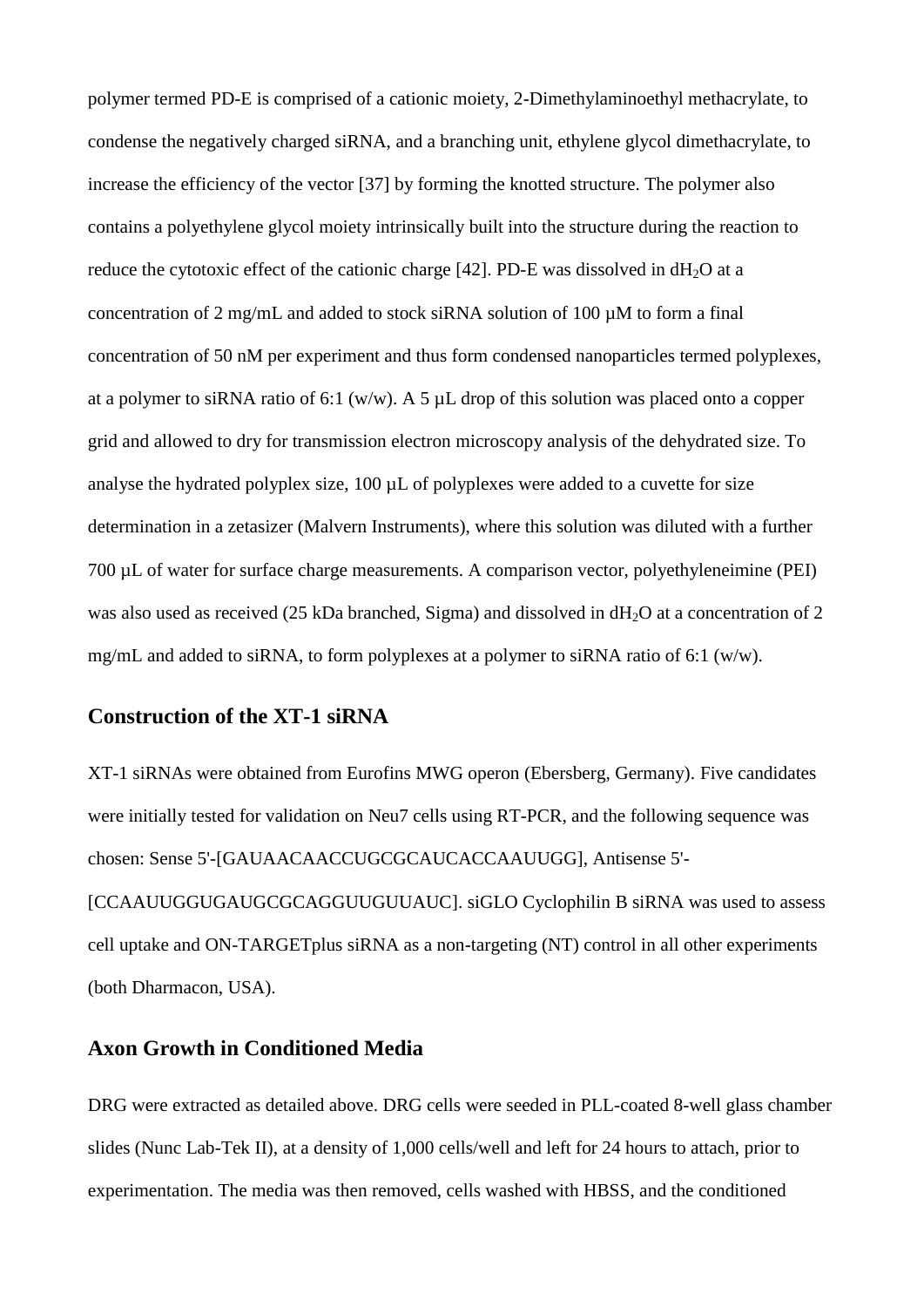polymer termed PD-E is comprised of a cationic moiety, 2-Dimethylaminoethyl methacrylate, to condense the negatively charged siRNA, and a branching unit, ethylene glycol dimethacrylate, to increase the efficiency of the vector [37] by forming the knotted structure. The polymer also contains a polyethylene glycol moiety intrinsically built into the structure during the reaction to reduce the cytotoxic effect of the cationic charge [42]. PD-E was dissolved in  $dH_2O$  at a concentration of 2 mg/mL and added to stock siRNA solution of 100 µM to form a final concentration of 50 nM per experiment and thus form condensed nanoparticles termed polyplexes, at a polymer to siRNA ratio of 6:1 (w/w). A 5  $\mu$ L drop of this solution was placed onto a copper grid and allowed to dry for transmission electron microscopy analysis of the dehydrated size. To analyse the hydrated polyplex size, 100 µL of polyplexes were added to a cuvette for size determination in a zetasizer (Malvern Instruments), where this solution was diluted with a further 700 µL of water for surface charge measurements. A comparison vector, polyethyleneimine (PEI) was also used as received (25 kDa branched, Sigma) and dissolved in  $dH<sub>2</sub>O$  at a concentration of 2 mg/mL and added to siRNA, to form polyplexes at a polymer to siRNA ratio of 6:1 (w/w).

#### **Construction of the XT-1 siRNA**

XT-1 siRNAs were obtained from Eurofins MWG operon (Ebersberg, Germany). Five candidates were initially tested for validation on Neu7 cells using RT-PCR, and the following sequence was chosen: Sense 5'-[GAUAACAACCUGCGCAUCACCAAUUGG], Antisense 5'- [CCAAUUGGUGAUGCGCAGGUUGUUAUC]. siGLO Cyclophilin B siRNA was used to assess cell uptake and ON-TARGETplus siRNA as a non-targeting (NT) control in all other experiments (both Dharmacon, USA).

#### **Axon Growth in Conditioned Media**

DRG were extracted as detailed above. DRG cells were seeded in PLL-coated 8-well glass chamber slides (Nunc Lab-Tek II), at a density of 1,000 cells/well and left for 24 hours to attach, prior to experimentation. The media was then removed, cells washed with HBSS, and the conditioned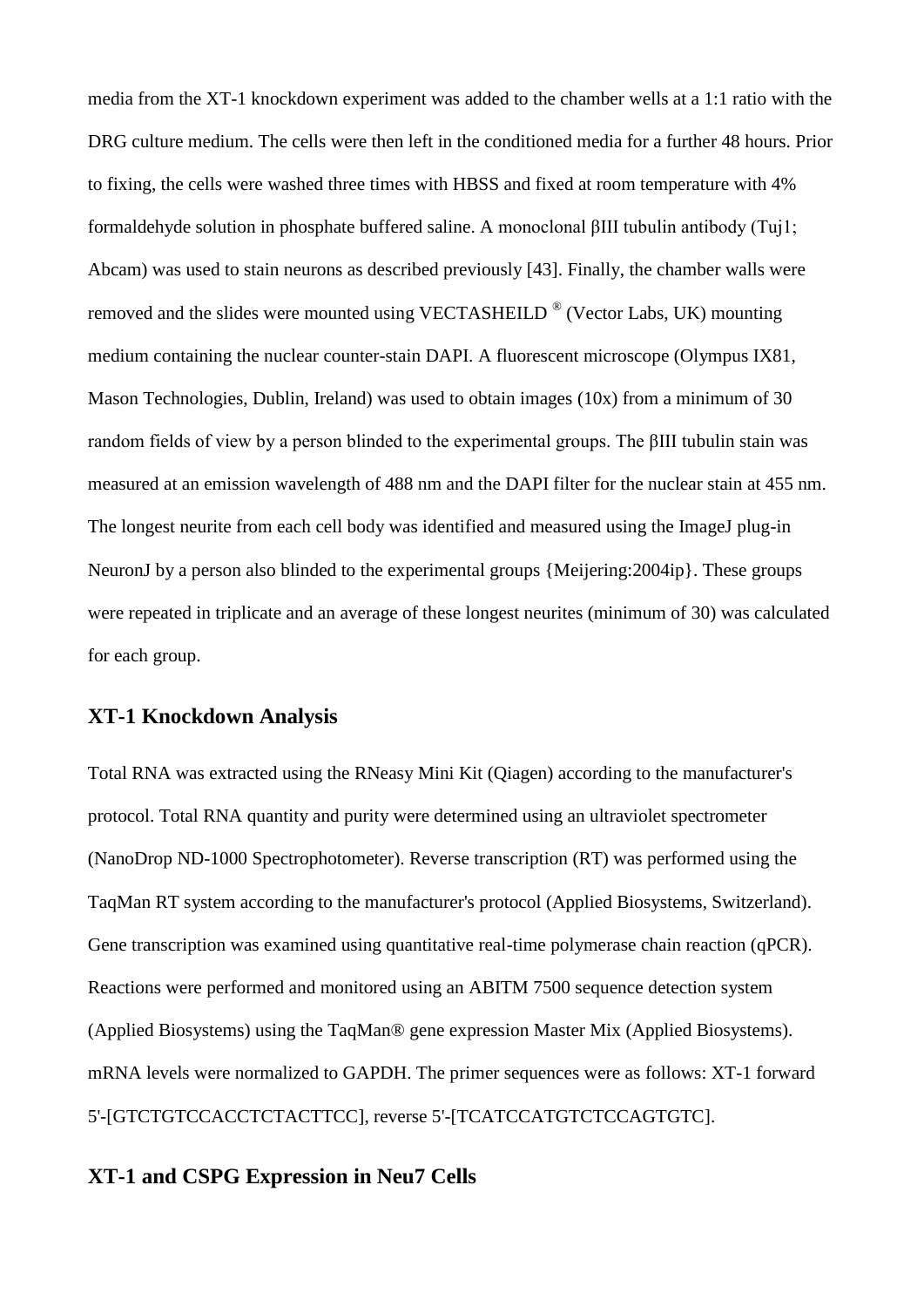media from the XT-1 knockdown experiment was added to the chamber wells at a 1:1 ratio with the DRG culture medium. The cells were then left in the conditioned media for a further 48 hours. Prior to fixing, the cells were washed three times with HBSS and fixed at room temperature with 4% formaldehyde solution in phosphate buffered saline. A monoclonal βIII tubulin antibody (Tuj1; Abcam) was used to stain neurons as described previously [43]. Finally, the chamber walls were removed and the slides were mounted using VECTASHEILD  $^{\circledR}$  (Vector Labs, UK) mounting medium containing the nuclear counter-stain DAPI. A fluorescent microscope (Olympus IX81, Mason Technologies, Dublin, Ireland) was used to obtain images (10x) from a minimum of 30 random fields of view by a person blinded to the experimental groups. The βIII tubulin stain was measured at an emission wavelength of 488 nm and the DAPI filter for the nuclear stain at 455 nm. The longest neurite from each cell body was identified and measured using the ImageJ plug-in NeuronJ by a person also blinded to the experimental groups {Meijering:2004ip}. These groups were repeated in triplicate and an average of these longest neurites (minimum of 30) was calculated for each group.

#### **XT-1 Knockdown Analysis**

Total RNA was extracted using the RNeasy Mini Kit (Qiagen) according to the manufacturer's protocol. Total RNA quantity and purity were determined using an ultraviolet spectrometer (NanoDrop ND-1000 Spectrophotometer). Reverse transcription (RT) was performed using the TaqMan RT system according to the manufacturer's protocol (Applied Biosystems, Switzerland). Gene transcription was examined using quantitative real-time polymerase chain reaction (qPCR). Reactions were performed and monitored using an ABITM 7500 sequence detection system (Applied Biosystems) using the TaqMan® gene expression Master Mix (Applied Biosystems). mRNA levels were normalized to GAPDH. The primer sequences were as follows: XT-1 forward 5'-[GTCTGTCCACCTCTACTTCC], reverse 5'-[TCATCCATGTCTCCAGTGTC].

#### **XT-1 and CSPG Expression in Neu7 Cells**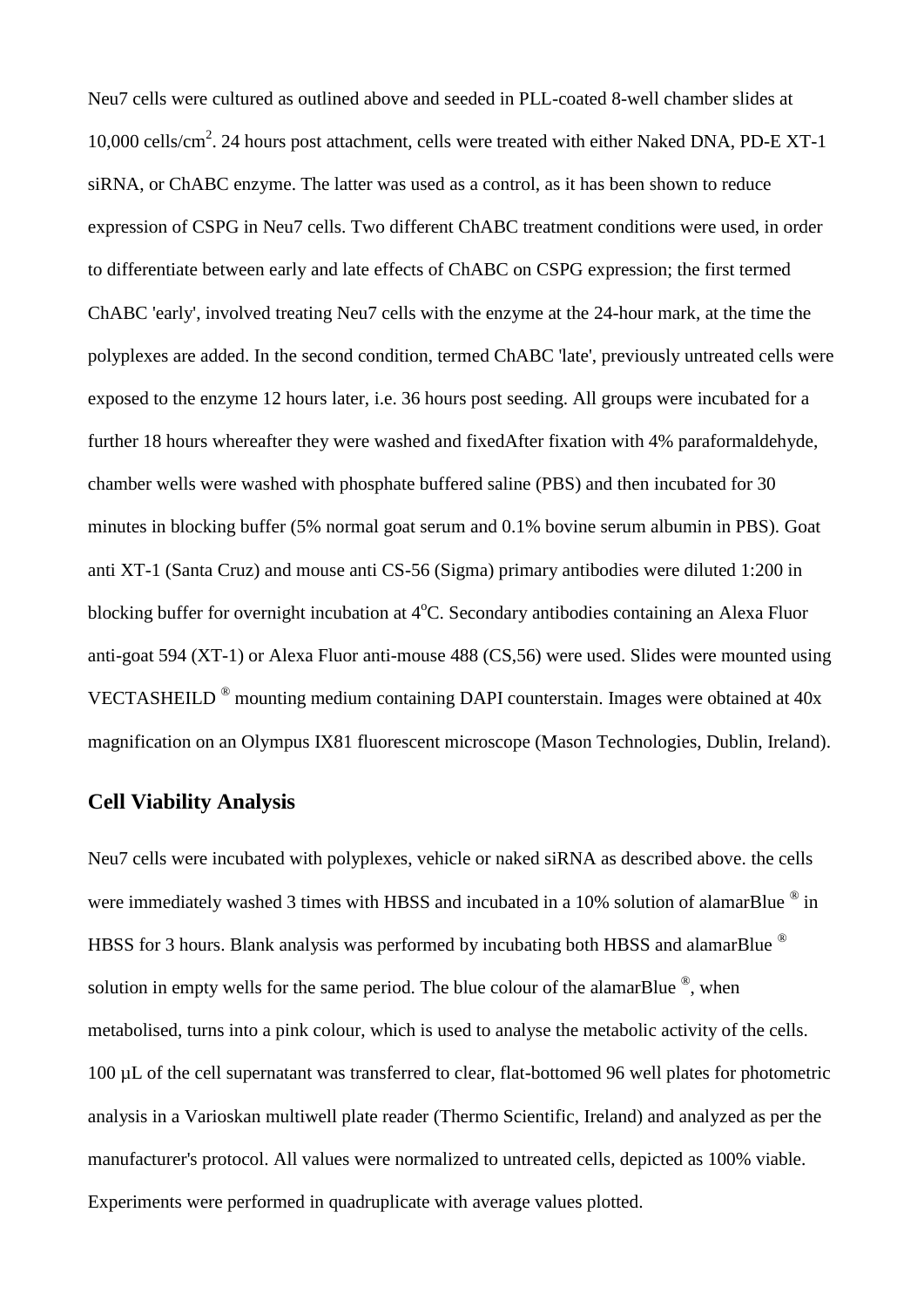Neu7 cells were cultured as outlined above and seeded in PLL-coated 8-well chamber slides at 10,000 cells/cm<sup>2</sup>. 24 hours post attachment, cells were treated with either Naked DNA, PD-E XT-1 siRNA, or ChABC enzyme. The latter was used as a control, as it has been shown to reduce expression of CSPG in Neu7 cells. Two different ChABC treatment conditions were used, in order to differentiate between early and late effects of ChABC on CSPG expression; the first termed ChABC 'early', involved treating Neu7 cells with the enzyme at the 24-hour mark, at the time the polyplexes are added. In the second condition, termed ChABC 'late', previously untreated cells were exposed to the enzyme 12 hours later, i.e. 36 hours post seeding. All groups were incubated for a further 18 hours whereafter they were washed and fixedAfter fixation with 4% paraformaldehyde, chamber wells were washed with phosphate buffered saline (PBS) and then incubated for 30 minutes in blocking buffer (5% normal goat serum and 0.1% bovine serum albumin in PBS). Goat anti XT-1 (Santa Cruz) and mouse anti CS-56 (Sigma) primary antibodies were diluted 1:200 in blocking buffer for overnight incubation at  $4^{\circ}$ C. Secondary antibodies containing an Alexa Fluor anti-goat 594 (XT-1) or Alexa Fluor anti-mouse 488 (CS,56) were used. Slides were mounted using VECTASHEILD ® mounting medium containing DAPI counterstain. Images were obtained at 40x magnification on an Olympus IX81 fluorescent microscope (Mason Technologies, Dublin, Ireland).

#### **Cell Viability Analysis**

Neu7 cells were incubated with polyplexes, vehicle or naked siRNA as described above. the cells were immediately washed 3 times with HBSS and incubated in a 10% solution of alamarBlue ® in HBSS for 3 hours. Blank analysis was performed by incubating both HBSS and alamarBlue <sup>®</sup> solution in empty wells for the same period. The blue colour of the alamarBlue  $^{\circledR}$ , when metabolised, turns into a pink colour, which is used to analyse the metabolic activity of the cells. 100 µL of the cell supernatant was transferred to clear, flat-bottomed 96 well plates for photometric analysis in a Varioskan multiwell plate reader (Thermo Scientific, Ireland) and analyzed as per the manufacturer's protocol. All values were normalized to untreated cells, depicted as 100% viable. Experiments were performed in quadruplicate with average values plotted.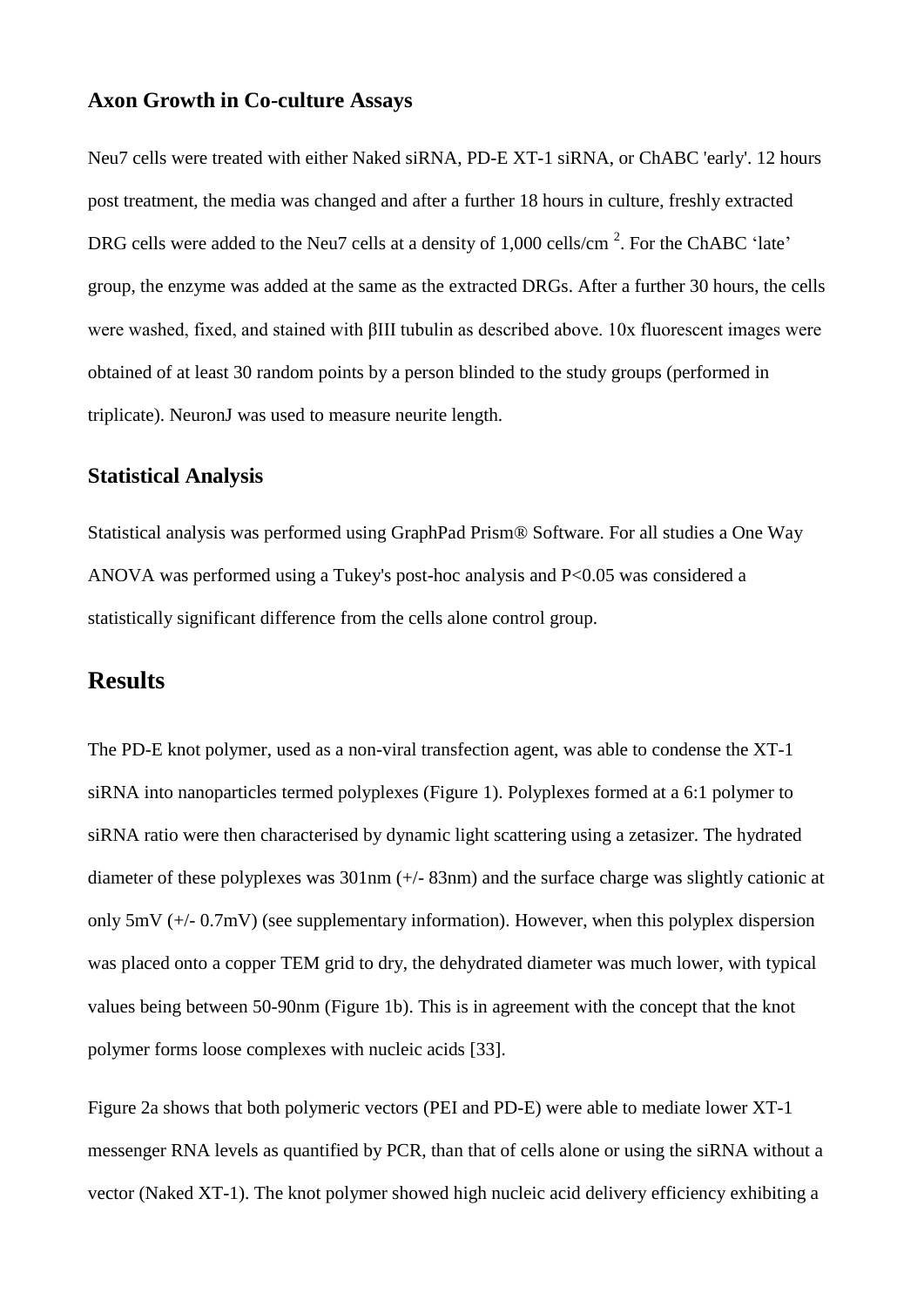#### **Axon Growth in Co-culture Assays**

Neu7 cells were treated with either Naked siRNA, PD-E XT-1 siRNA, or ChABC 'early'. 12 hours post treatment, the media was changed and after a further 18 hours in culture, freshly extracted DRG cells were added to the Neu7 cells at a density of 1,000 cells/cm<sup>2</sup>. For the ChABC 'late' group, the enzyme was added at the same as the extracted DRGs. After a further 30 hours, the cells were washed, fixed, and stained with βIII tubulin as described above. 10x fluorescent images were obtained of at least 30 random points by a person blinded to the study groups (performed in triplicate). NeuronJ was used to measure neurite length.

#### **Statistical Analysis**

Statistical analysis was performed using GraphPad Prism® Software. For all studies a One Way ANOVA was performed using a Tukey's post-hoc analysis and P<0.05 was considered a statistically significant difference from the cells alone control group.

## **Results**

The PD-E knot polymer, used as a non-viral transfection agent, was able to condense the XT-1 siRNA into nanoparticles termed polyplexes (Figure 1). Polyplexes formed at a 6:1 polymer to siRNA ratio were then characterised by dynamic light scattering using a zetasizer. The hydrated diameter of these polyplexes was 301nm (+/- 83nm) and the surface charge was slightly cationic at only 5mV (+/- 0.7mV) (see supplementary information). However, when this polyplex dispersion was placed onto a copper TEM grid to dry, the dehydrated diameter was much lower, with typical values being between 50-90nm (Figure 1b). This is in agreement with the concept that the knot polymer forms loose complexes with nucleic acids [33].

Figure 2a shows that both polymeric vectors (PEI and PD-E) were able to mediate lower XT-1 messenger RNA levels as quantified by PCR, than that of cells alone or using the siRNA without a vector (Naked XT-1). The knot polymer showed high nucleic acid delivery efficiency exhibiting a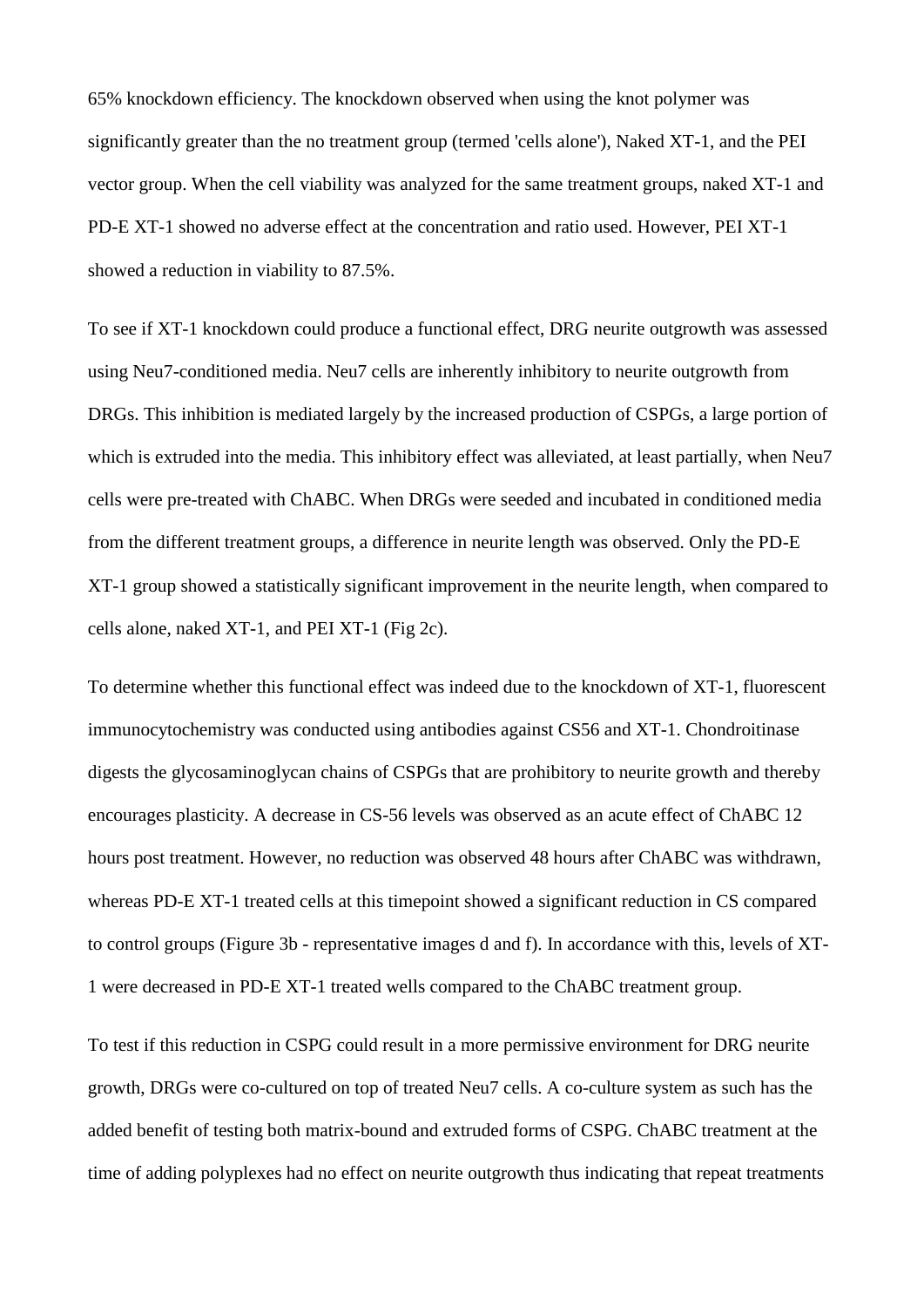65% knockdown efficiency. The knockdown observed when using the knot polymer was significantly greater than the no treatment group (termed 'cells alone'), Naked XT-1, and the PEI vector group. When the cell viability was analyzed for the same treatment groups, naked XT-1 and PD-E XT-1 showed no adverse effect at the concentration and ratio used. However, PEI XT-1 showed a reduction in viability to 87.5%.

To see if XT-1 knockdown could produce a functional effect, DRG neurite outgrowth was assessed using Neu7-conditioned media. Neu7 cells are inherently inhibitory to neurite outgrowth from DRGs. This inhibition is mediated largely by the increased production of CSPGs, a large portion of which is extruded into the media. This inhibitory effect was alleviated, at least partially, when Neu7 cells were pre-treated with ChABC. When DRGs were seeded and incubated in conditioned media from the different treatment groups, a difference in neurite length was observed. Only the PD-E XT-1 group showed a statistically significant improvement in the neurite length, when compared to cells alone, naked XT-1, and PEI XT-1 (Fig 2c).

To determine whether this functional effect was indeed due to the knockdown of XT-1, fluorescent immunocytochemistry was conducted using antibodies against CS56 and XT-1. Chondroitinase digests the glycosaminoglycan chains of CSPGs that are prohibitory to neurite growth and thereby encourages plasticity. A decrease in CS-56 levels was observed as an acute effect of ChABC 12 hours post treatment. However, no reduction was observed 48 hours after ChABC was withdrawn, whereas PD-E XT-1 treated cells at this timepoint showed a significant reduction in CS compared to control groups (Figure 3b - representative images d and f). In accordance with this, levels of XT-1 were decreased in PD-E XT-1 treated wells compared to the ChABC treatment group.

To test if this reduction in CSPG could result in a more permissive environment for DRG neurite growth, DRGs were co-cultured on top of treated Neu7 cells. A co-culture system as such has the added benefit of testing both matrix-bound and extruded forms of CSPG. ChABC treatment at the time of adding polyplexes had no effect on neurite outgrowth thus indicating that repeat treatments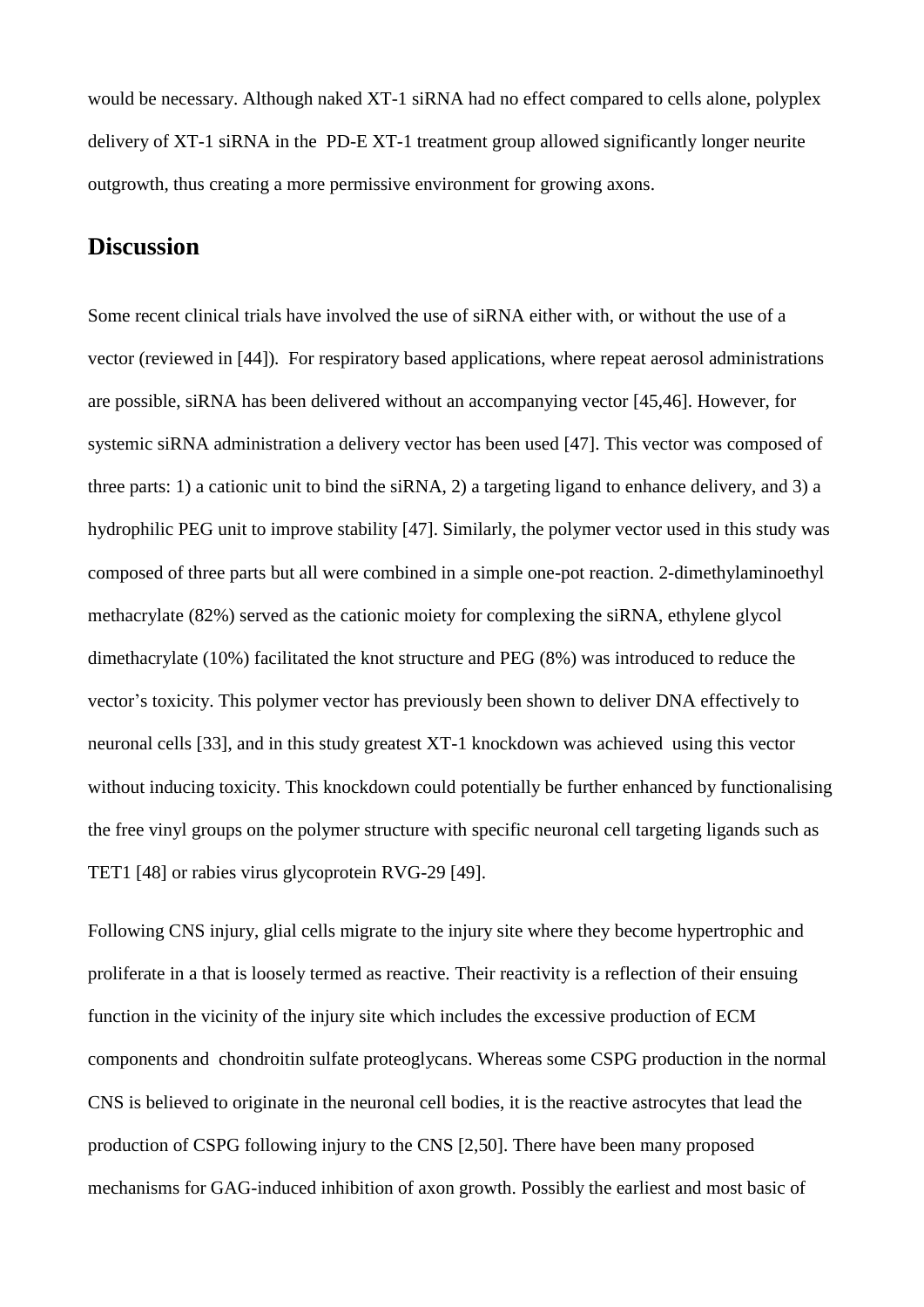would be necessary. Although naked XT-1 siRNA had no effect compared to cells alone, polyplex delivery of XT-1 siRNA in the PD-E XT-1 treatment group allowed significantly longer neurite outgrowth, thus creating a more permissive environment for growing axons.

## **Discussion**

Some recent clinical trials have involved the use of siRNA either with, or without the use of a vector (reviewed in [44]). For respiratory based applications, where repeat aerosol administrations are possible, siRNA has been delivered without an accompanying vector [45,46]. However, for systemic siRNA administration a delivery vector has been used [47]. This vector was composed of three parts: 1) a cationic unit to bind the siRNA, 2) a targeting ligand to enhance delivery, and 3) a hydrophilic PEG unit to improve stability [47]. Similarly, the polymer vector used in this study was composed of three parts but all were combined in a simple one-pot reaction. 2-dimethylaminoethyl methacrylate (82%) served as the cationic moiety for complexing the siRNA, ethylene glycol dimethacrylate (10%) facilitated the knot structure and PEG (8%) was introduced to reduce the vector's toxicity. This polymer vector has previously been shown to deliver DNA effectively to neuronal cells [33], and in this study greatest XT-1 knockdown was achieved using this vector without inducing toxicity. This knockdown could potentially be further enhanced by functionalising the free vinyl groups on the polymer structure with specific neuronal cell targeting ligands such as TET1 [48] or rabies virus glycoprotein RVG-29 [49].

Following CNS injury, glial cells migrate to the injury site where they become hypertrophic and proliferate in a that is loosely termed as reactive. Their reactivity is a reflection of their ensuing function in the vicinity of the injury site which includes the excessive production of ECM components and chondroitin sulfate proteoglycans. Whereas some CSPG production in the normal CNS is believed to originate in the neuronal cell bodies, it is the reactive astrocytes that lead the production of CSPG following injury to the CNS [2,50]. There have been many proposed mechanisms for GAG-induced inhibition of axon growth. Possibly the earliest and most basic of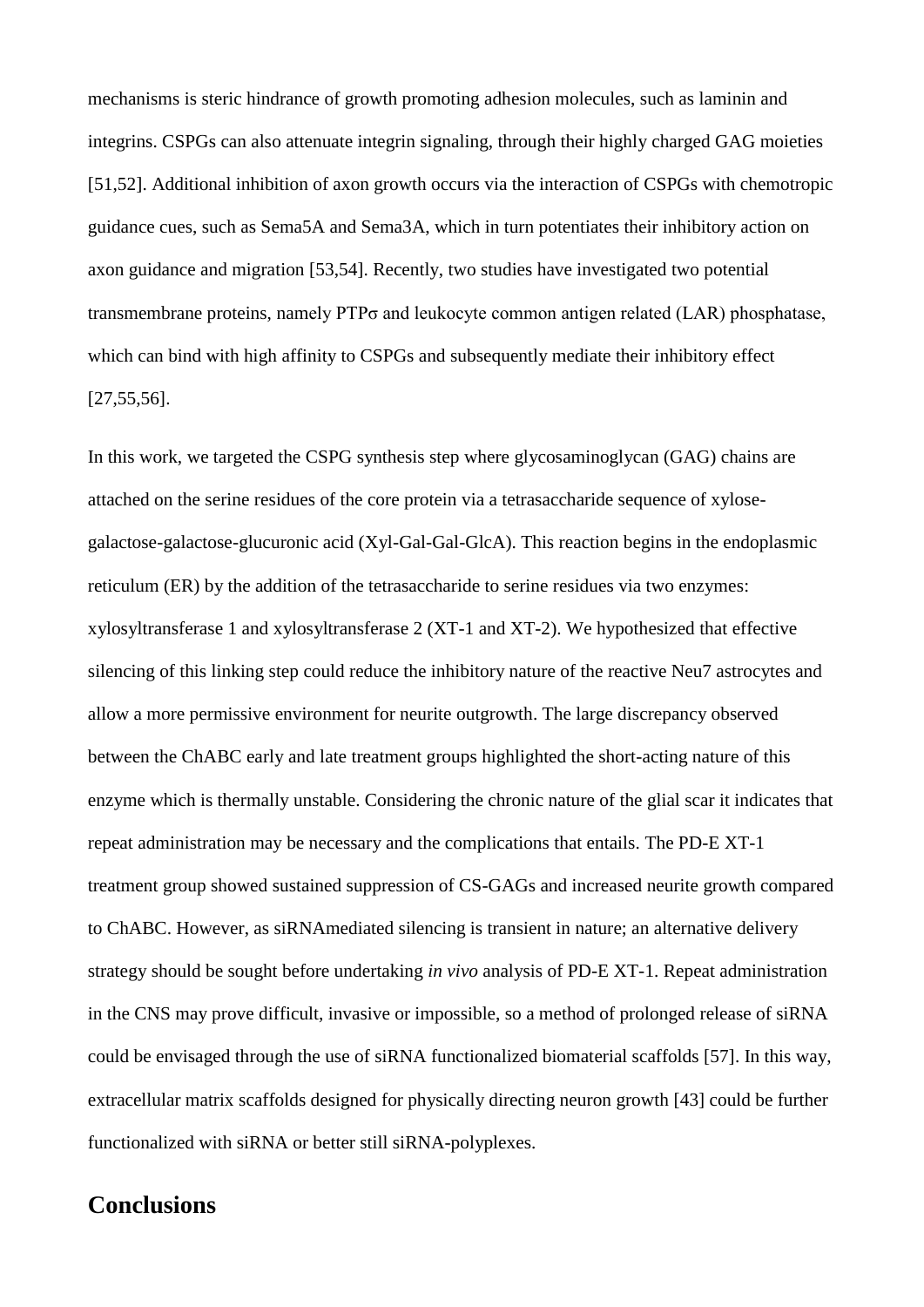mechanisms is steric hindrance of growth promoting adhesion molecules, such as laminin and integrins. CSPGs can also attenuate integrin signaling, through their highly charged GAG moieties [51,52]. Additional inhibition of axon growth occurs via the interaction of CSPGs with chemotropic guidance cues, such as Sema5A and Sema3A, which in turn potentiates their inhibitory action on axon guidance and migration [53,54]. Recently, two studies have investigated two potential transmembrane proteins, namely PTPσ and leukocyte common antigen related (LAR) phosphatase, which can bind with high affinity to CSPGs and subsequently mediate their inhibitory effect [27,55,56].

In this work, we targeted the CSPG synthesis step where glycosaminoglycan (GAG) chains are attached on the serine residues of the core protein via a tetrasaccharide sequence of xylosegalactose-galactose-glucuronic acid (Xyl-Gal-Gal-GlcA). This reaction begins in the endoplasmic reticulum (ER) by the addition of the tetrasaccharide to serine residues via two enzymes: xylosyltransferase 1 and xylosyltransferase 2 (XT-1 and XT-2). We hypothesized that effective silencing of this linking step could reduce the inhibitory nature of the reactive Neu7 astrocytes and allow a more permissive environment for neurite outgrowth. The large discrepancy observed between the ChABC early and late treatment groups highlighted the short-acting nature of this enzyme which is thermally unstable. Considering the chronic nature of the glial scar it indicates that repeat administration may be necessary and the complications that entails. The PD-E XT-1 treatment group showed sustained suppression of CS-GAGs and increased neurite growth compared to ChABC. However, as siRNAmediated silencing is transient in nature; an alternative delivery strategy should be sought before undertaking *in vivo* analysis of PD-E XT-1. Repeat administration in the CNS may prove difficult, invasive or impossible, so a method of prolonged release of siRNA could be envisaged through the use of siRNA functionalized biomaterial scaffolds [57]. In this way, extracellular matrix scaffolds designed for physically directing neuron growth [43] could be further functionalized with siRNA or better still siRNA-polyplexes.

## **Conclusions**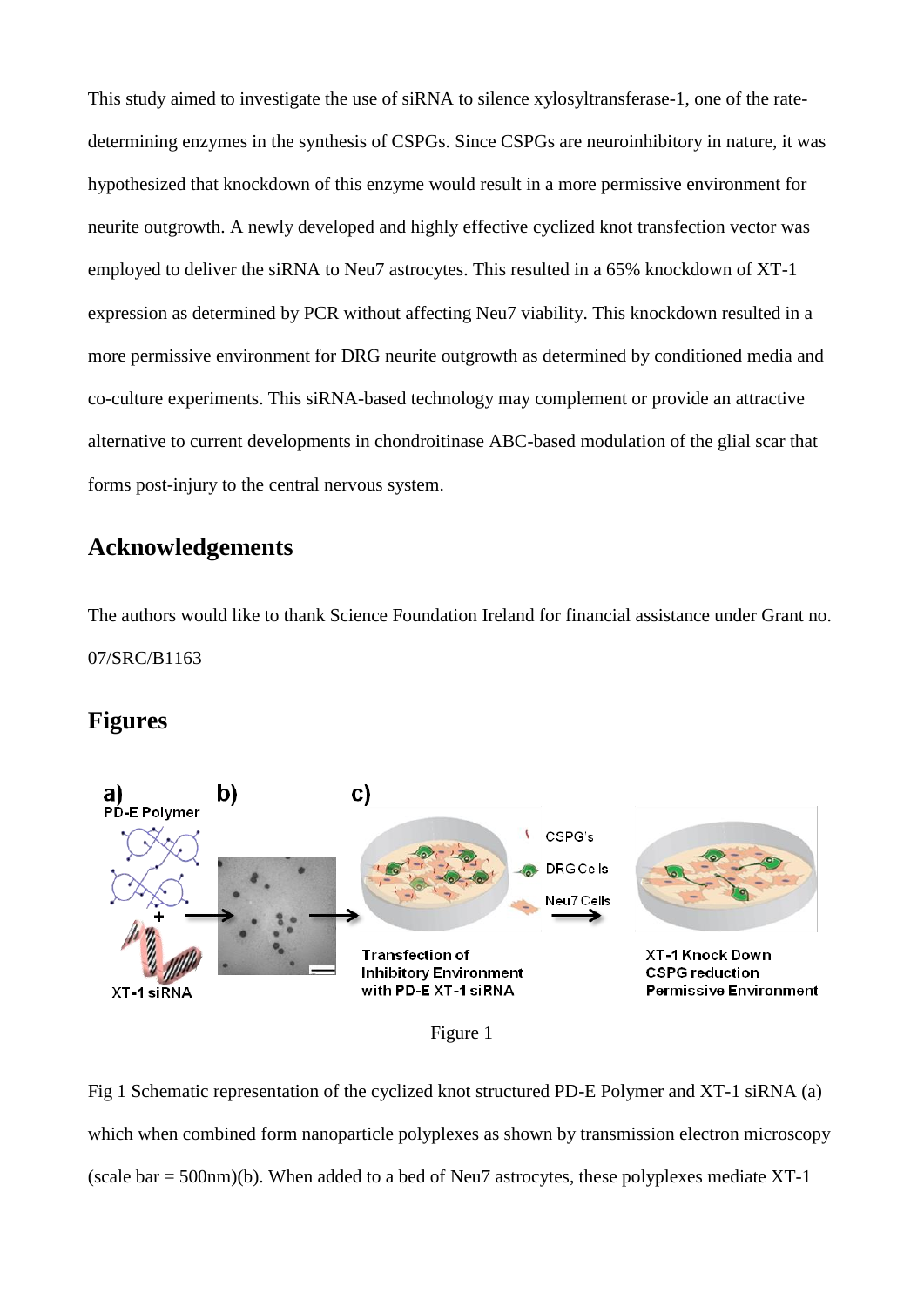This study aimed to investigate the use of siRNA to silence xylosyltransferase-1, one of the ratedetermining enzymes in the synthesis of CSPGs. Since CSPGs are neuroinhibitory in nature, it was hypothesized that knockdown of this enzyme would result in a more permissive environment for neurite outgrowth. A newly developed and highly effective cyclized knot transfection vector was employed to deliver the siRNA to Neu7 astrocytes. This resulted in a 65% knockdown of XT-1 expression as determined by PCR without affecting Neu7 viability. This knockdown resulted in a more permissive environment for DRG neurite outgrowth as determined by conditioned media and co-culture experiments. This siRNA-based technology may complement or provide an attractive alternative to current developments in chondroitinase ABC-based modulation of the glial scar that forms post-injury to the central nervous system.

## **Acknowledgements**

The authors would like to thank Science Foundation Ireland for financial assistance under Grant no. 07/SRC/B1163

### **Figures**





Fig 1 Schematic representation of the cyclized knot structured PD-E Polymer and XT-1 siRNA (a) which when combined form nanoparticle polyplexes as shown by transmission electron microscopy (scale bar = 500nm)(b). When added to a bed of Neu7 astrocytes, these polyplexes mediate XT-1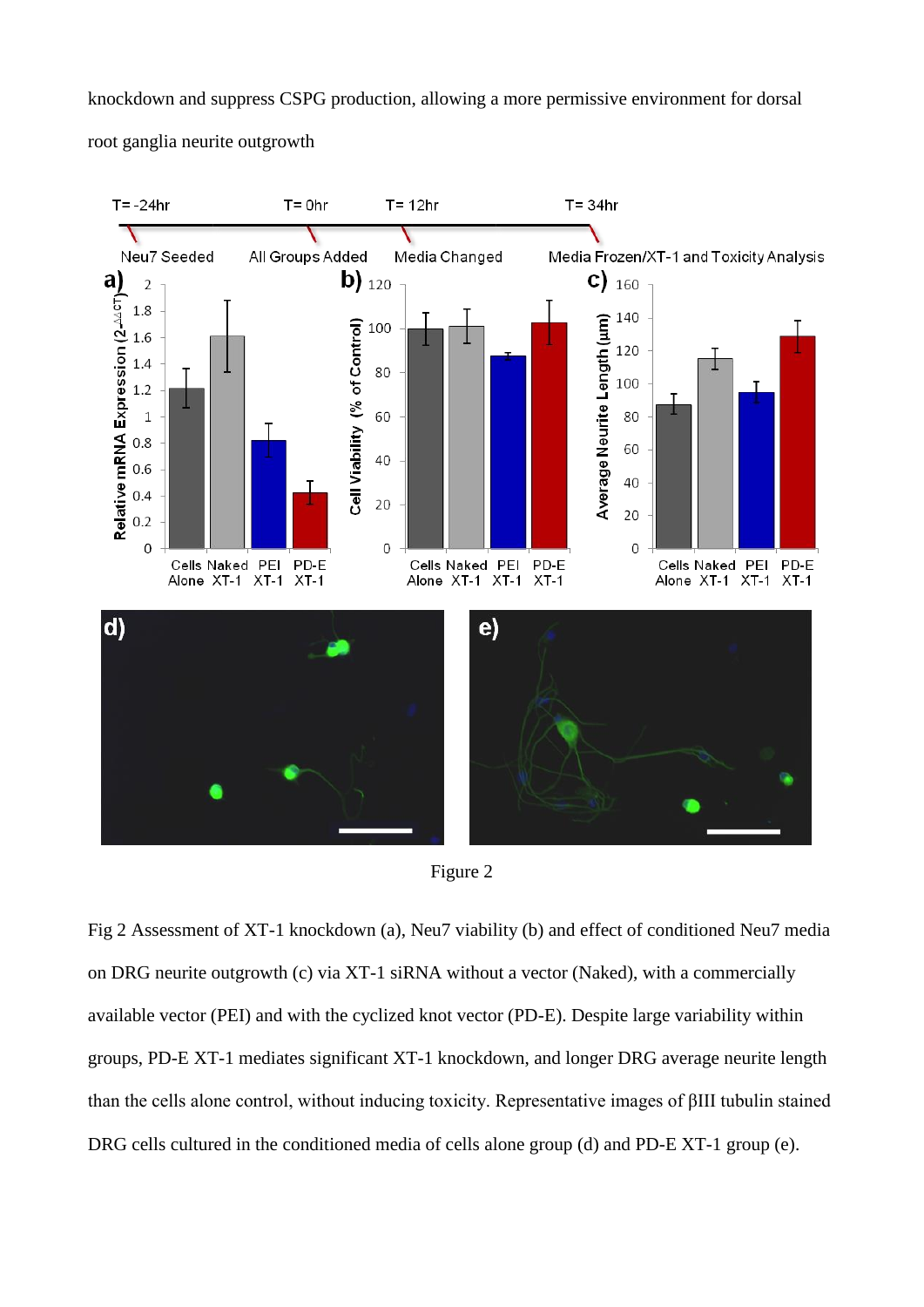knockdown and suppress CSPG production, allowing a more permissive environment for dorsal root ganglia neurite outgrowth





Fig 2 Assessment of XT-1 knockdown (a), Neu7 viability (b) and effect of conditioned Neu7 media on DRG neurite outgrowth (c) via XT-1 siRNA without a vector (Naked), with a commercially available vector (PEI) and with the cyclized knot vector (PD-E). Despite large variability within groups, PD-E XT-1 mediates significant XT-1 knockdown, and longer DRG average neurite length than the cells alone control, without inducing toxicity. Representative images of βIII tubulin stained DRG cells cultured in the conditioned media of cells alone group (d) and PD-E XT-1 group (e).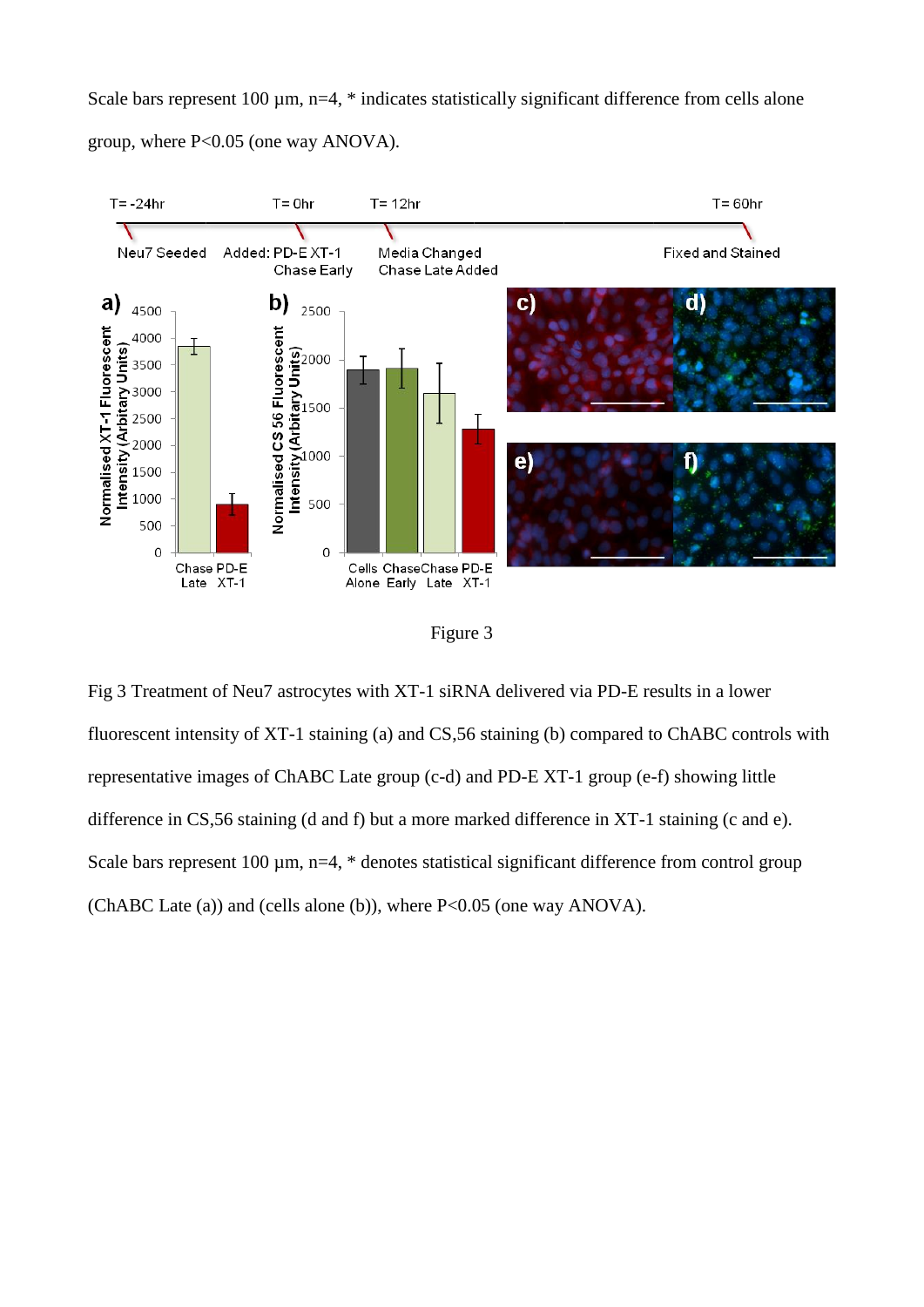Scale bars represent 100  $\mu$ m, n=4,  $*$  indicates statistically significant difference from cells alone group, where P<0.05 (one way ANOVA).



Figure 3

Fig 3 Treatment of Neu7 astrocytes with XT-1 siRNA delivered via PD-E results in a lower fluorescent intensity of XT-1 staining (a) and CS,56 staining (b) compared to ChABC controls with representative images of ChABC Late group (c-d) and PD-E XT-1 group (e-f) showing little difference in CS,56 staining (d and f) but a more marked difference in XT-1 staining (c and e). Scale bars represent 100  $\mu$ m, n=4,  $*$  denotes statistical significant difference from control group (ChABC Late (a)) and (cells alone (b)), where P<0.05 (one way ANOVA).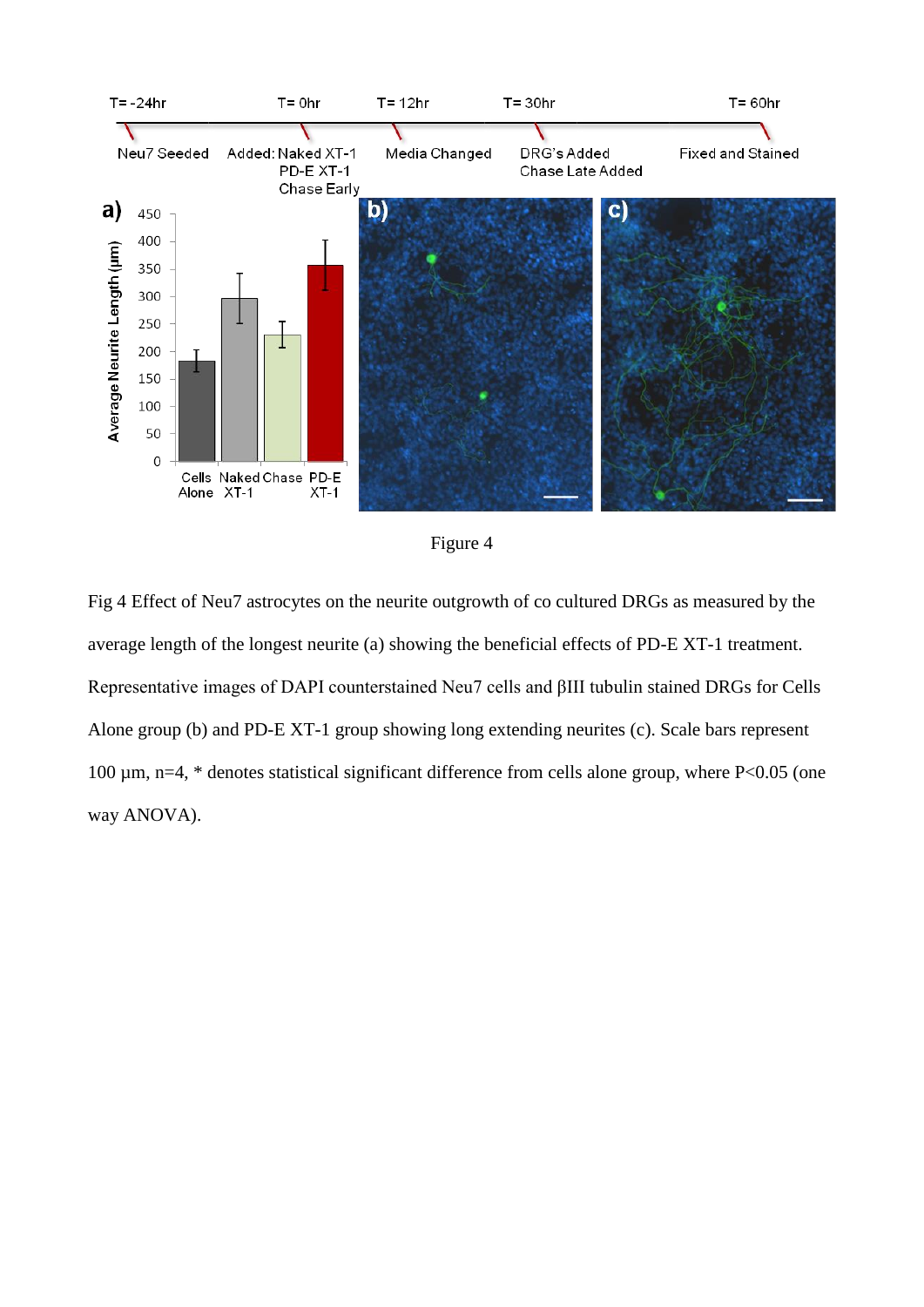



Fig 4 Effect of Neu7 astrocytes on the neurite outgrowth of co cultured DRGs as measured by the average length of the longest neurite (a) showing the beneficial effects of PD-E XT-1 treatment. Representative images of DAPI counterstained Neu7 cells and βIII tubulin stained DRGs for Cells Alone group (b) and PD-E XT-1 group showing long extending neurites (c). Scale bars represent 100 µm, n=4, \* denotes statistical significant difference from cells alone group, where P<0.05 (one way ANOVA).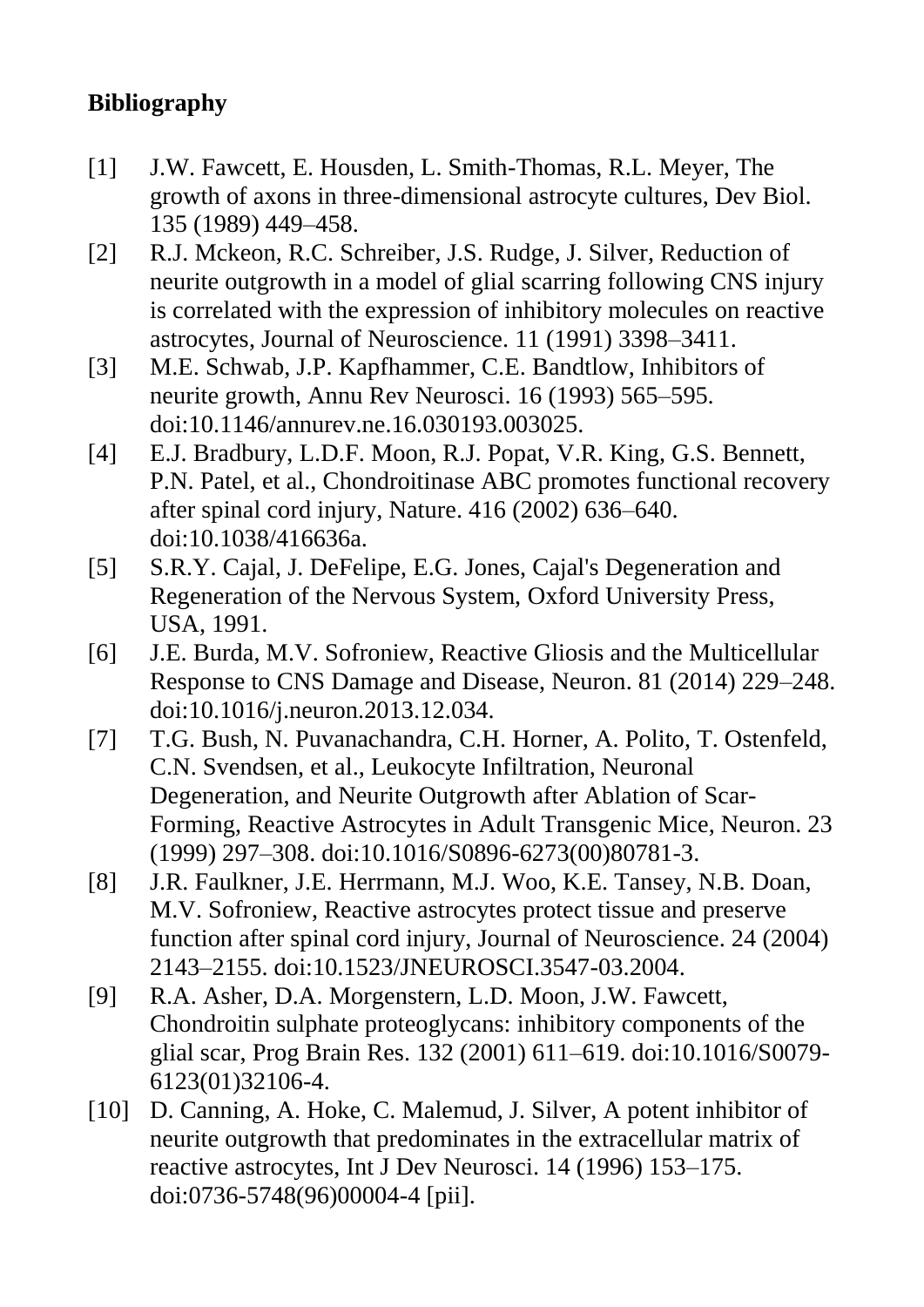## **Bibliography**

- [1] J.W. Fawcett, E. Housden, L. Smith-Thomas, R.L. Meyer, The growth of axons in three-dimensional astrocyte cultures, Dev Biol. 135 (1989) 449–458.
- [2] R.J. Mckeon, R.C. Schreiber, J.S. Rudge, J. Silver, Reduction of neurite outgrowth in a model of glial scarring following CNS injury is correlated with the expression of inhibitory molecules on reactive astrocytes, Journal of Neuroscience. 11 (1991) 3398–3411.
- [3] M.E. Schwab, J.P. Kapfhammer, C.E. Bandtlow, Inhibitors of neurite growth, Annu Rev Neurosci. 16 (1993) 565–595. doi:10.1146/annurev.ne.16.030193.003025.
- [4] E.J. Bradbury, L.D.F. Moon, R.J. Popat, V.R. King, G.S. Bennett, P.N. Patel, et al., Chondroitinase ABC promotes functional recovery after spinal cord injury, Nature. 416 (2002) 636–640. doi:10.1038/416636a.
- [5] S.R.Y. Cajal, J. DeFelipe, E.G. Jones, Cajal's Degeneration and Regeneration of the Nervous System, Oxford University Press, USA, 1991.
- [6] J.E. Burda, M.V. Sofroniew, Reactive Gliosis and the Multicellular Response to CNS Damage and Disease, Neuron. 81 (2014) 229–248. doi:10.1016/j.neuron.2013.12.034.
- [7] T.G. Bush, N. Puvanachandra, C.H. Horner, A. Polito, T. Ostenfeld, C.N. Svendsen, et al., Leukocyte Infiltration, Neuronal Degeneration, and Neurite Outgrowth after Ablation of Scar-Forming, Reactive Astrocytes in Adult Transgenic Mice, Neuron. 23 (1999) 297–308. doi:10.1016/S0896-6273(00)80781-3.
- [8] J.R. Faulkner, J.E. Herrmann, M.J. Woo, K.E. Tansey, N.B. Doan, M.V. Sofroniew, Reactive astrocytes protect tissue and preserve function after spinal cord injury, Journal of Neuroscience. 24 (2004) 2143–2155. doi:10.1523/JNEUROSCI.3547-03.2004.
- [9] R.A. Asher, D.A. Morgenstern, L.D. Moon, J.W. Fawcett, Chondroitin sulphate proteoglycans: inhibitory components of the glial scar, Prog Brain Res. 132 (2001) 611–619. doi:10.1016/S0079- 6123(01)32106-4.
- [10] D. Canning, A. Hoke, C. Malemud, J. Silver, A potent inhibitor of neurite outgrowth that predominates in the extracellular matrix of reactive astrocytes, Int J Dev Neurosci. 14 (1996) 153–175. doi:0736-5748(96)00004-4 [pii].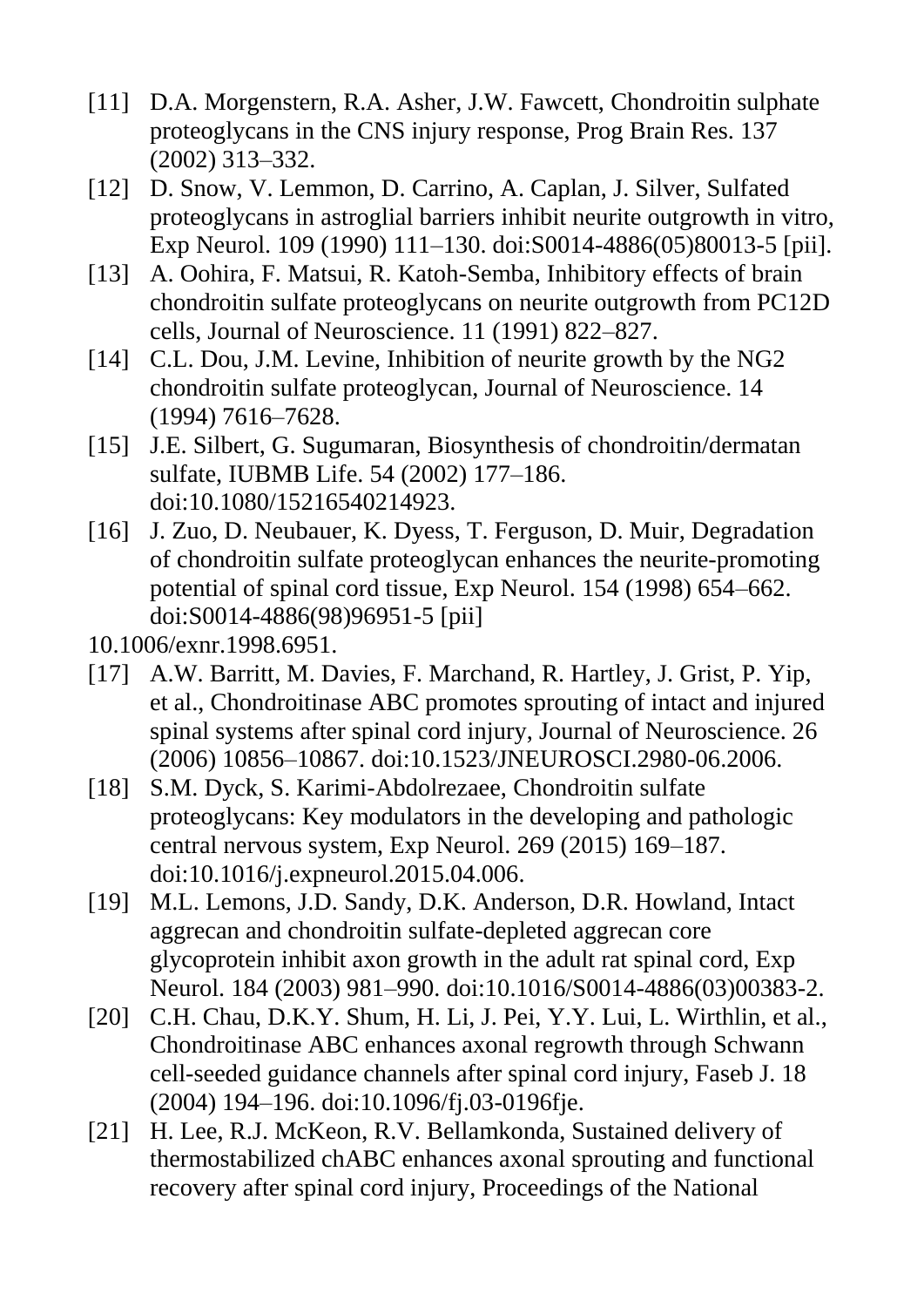- [11] D.A. Morgenstern, R.A. Asher, J.W. Fawcett, Chondroitin sulphate proteoglycans in the CNS injury response, Prog Brain Res. 137 (2002) 313–332.
- [12] D. Snow, V. Lemmon, D. Carrino, A. Caplan, J. Silver, Sulfated proteoglycans in astroglial barriers inhibit neurite outgrowth in vitro, Exp Neurol. 109 (1990) 111–130. doi:S0014-4886(05)80013-5 [pii].
- [13] A. Oohira, F. Matsui, R. Katoh-Semba, Inhibitory effects of brain chondroitin sulfate proteoglycans on neurite outgrowth from PC12D cells, Journal of Neuroscience. 11 (1991) 822–827.
- [14] C.L. Dou, J.M. Levine, Inhibition of neurite growth by the NG2 chondroitin sulfate proteoglycan, Journal of Neuroscience. 14 (1994) 7616–7628.
- [15] J.E. Silbert, G. Sugumaran, Biosynthesis of chondroitin/dermatan sulfate, IUBMB Life. 54 (2002) 177–186. doi:10.1080/15216540214923.
- [16] J. Zuo, D. Neubauer, K. Dyess, T. Ferguson, D. Muir, Degradation of chondroitin sulfate proteoglycan enhances the neurite-promoting potential of spinal cord tissue, Exp Neurol. 154 (1998) 654–662. doi:S0014-4886(98)96951-5 [pii]
- 10.1006/exnr.1998.6951.
- [17] A.W. Barritt, M. Davies, F. Marchand, R. Hartley, J. Grist, P. Yip, et al., Chondroitinase ABC promotes sprouting of intact and injured spinal systems after spinal cord injury, Journal of Neuroscience. 26 (2006) 10856–10867. doi:10.1523/JNEUROSCI.2980-06.2006.
- [18] S.M. Dyck, S. Karimi-Abdolrezaee, Chondroitin sulfate proteoglycans: Key modulators in the developing and pathologic central nervous system, Exp Neurol. 269 (2015) 169–187. doi:10.1016/j.expneurol.2015.04.006.
- [19] M.L. Lemons, J.D. Sandy, D.K. Anderson, D.R. Howland, Intact aggrecan and chondroitin sulfate-depleted aggrecan core glycoprotein inhibit axon growth in the adult rat spinal cord, Exp Neurol. 184 (2003) 981–990. doi:10.1016/S0014-4886(03)00383-2.
- [20] C.H. Chau, D.K.Y. Shum, H. Li, J. Pei, Y.Y. Lui, L. Wirthlin, et al., Chondroitinase ABC enhances axonal regrowth through Schwann cell-seeded guidance channels after spinal cord injury, Faseb J. 18 (2004) 194–196. doi:10.1096/fj.03-0196fje.
- [21] H. Lee, R.J. McKeon, R.V. Bellamkonda, Sustained delivery of thermostabilized chABC enhances axonal sprouting and functional recovery after spinal cord injury, Proceedings of the National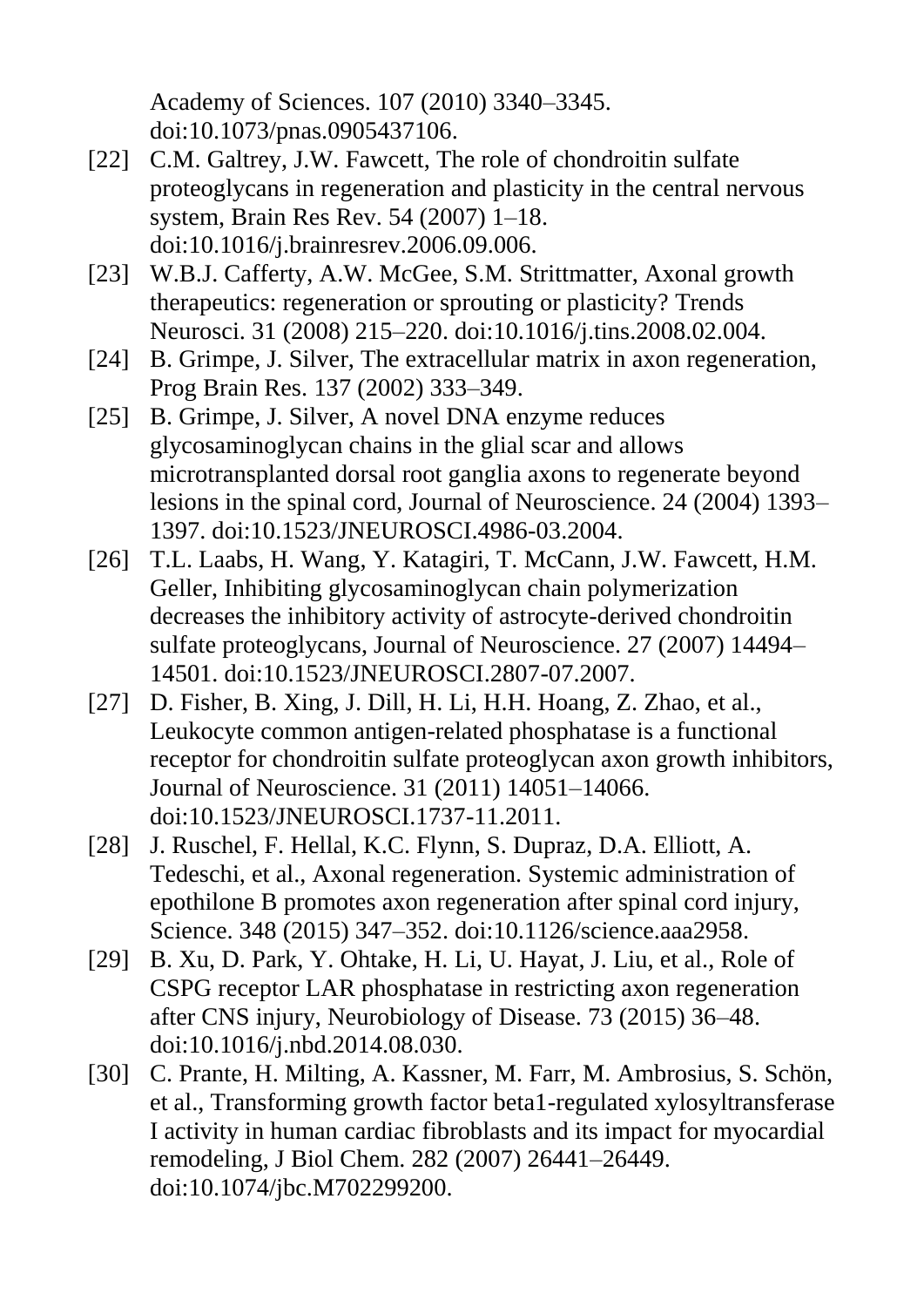Academy of Sciences. 107 (2010) 3340–3345. doi:10.1073/pnas.0905437106.

- [22] C.M. Galtrey, J.W. Fawcett, The role of chondroitin sulfate proteoglycans in regeneration and plasticity in the central nervous system, Brain Res Rev. 54 (2007) 1–18. doi:10.1016/j.brainresrev.2006.09.006.
- [23] W.B.J. Cafferty, A.W. McGee, S.M. Strittmatter, Axonal growth therapeutics: regeneration or sprouting or plasticity? Trends Neurosci. 31 (2008) 215–220. doi:10.1016/j.tins.2008.02.004.
- [24] B. Grimpe, J. Silver, The extracellular matrix in axon regeneration, Prog Brain Res. 137 (2002) 333–349.
- [25] B. Grimpe, J. Silver, A novel DNA enzyme reduces glycosaminoglycan chains in the glial scar and allows microtransplanted dorsal root ganglia axons to regenerate beyond lesions in the spinal cord, Journal of Neuroscience. 24 (2004) 1393– 1397. doi:10.1523/JNEUROSCI.4986-03.2004.
- [26] T.L. Laabs, H. Wang, Y. Katagiri, T. McCann, J.W. Fawcett, H.M. Geller, Inhibiting glycosaminoglycan chain polymerization decreases the inhibitory activity of astrocyte-derived chondroitin sulfate proteoglycans, Journal of Neuroscience. 27 (2007) 14494– 14501. doi:10.1523/JNEUROSCI.2807-07.2007.
- [27] D. Fisher, B. Xing, J. Dill, H. Li, H.H. Hoang, Z. Zhao, et al., Leukocyte common antigen-related phosphatase is a functional receptor for chondroitin sulfate proteoglycan axon growth inhibitors, Journal of Neuroscience. 31 (2011) 14051–14066. doi:10.1523/JNEUROSCI.1737-11.2011.
- [28] J. Ruschel, F. Hellal, K.C. Flynn, S. Dupraz, D.A. Elliott, A. Tedeschi, et al., Axonal regeneration. Systemic administration of epothilone B promotes axon regeneration after spinal cord injury, Science. 348 (2015) 347–352. doi:10.1126/science.aaa2958.
- [29] B. Xu, D. Park, Y. Ohtake, H. Li, U. Hayat, J. Liu, et al., Role of CSPG receptor LAR phosphatase in restricting axon regeneration after CNS injury, Neurobiology of Disease. 73 (2015) 36–48. doi:10.1016/j.nbd.2014.08.030.
- [30] C. Prante, H. Milting, A. Kassner, M. Farr, M. Ambrosius, S. Schön, et al., Transforming growth factor beta1-regulated xylosyltransferase I activity in human cardiac fibroblasts and its impact for myocardial remodeling, J Biol Chem. 282 (2007) 26441–26449. doi:10.1074/jbc.M702299200.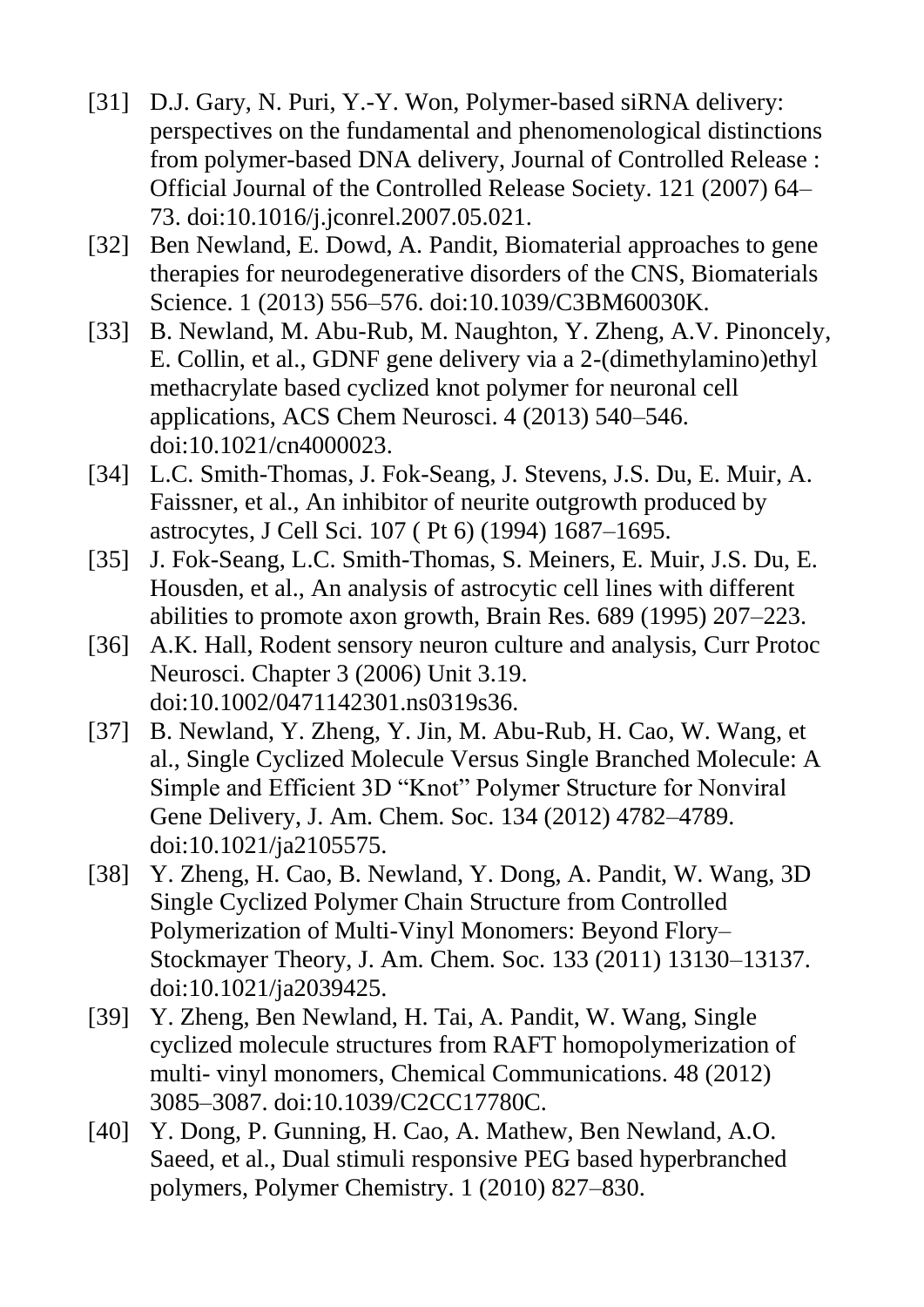- [31] D.J. Gary, N. Puri, Y.-Y. Won, Polymer-based siRNA delivery: perspectives on the fundamental and phenomenological distinctions from polymer-based DNA delivery, Journal of Controlled Release : Official Journal of the Controlled Release Society. 121 (2007) 64– 73. doi:10.1016/j.jconrel.2007.05.021.
- [32] Ben Newland, E. Dowd, A. Pandit, Biomaterial approaches to gene therapies for neurodegenerative disorders of the CNS, Biomaterials Science. 1 (2013) 556–576. doi:10.1039/C3BM60030K.
- [33] B. Newland, M. Abu-Rub, M. Naughton, Y. Zheng, A.V. Pinoncely, E. Collin, et al., GDNF gene delivery via a 2-(dimethylamino)ethyl methacrylate based cyclized knot polymer for neuronal cell applications, ACS Chem Neurosci. 4 (2013) 540–546. doi:10.1021/cn4000023.
- [34] L.C. Smith-Thomas, J. Fok-Seang, J. Stevens, J.S. Du, E. Muir, A. Faissner, et al., An inhibitor of neurite outgrowth produced by astrocytes, J Cell Sci. 107 ( Pt 6) (1994) 1687–1695.
- [35] J. Fok-Seang, L.C. Smith-Thomas, S. Meiners, E. Muir, J.S. Du, E. Housden, et al., An analysis of astrocytic cell lines with different abilities to promote axon growth, Brain Res. 689 (1995) 207–223.
- [36] A.K. Hall, Rodent sensory neuron culture and analysis, Curr Protoc Neurosci. Chapter 3 (2006) Unit 3.19. doi:10.1002/0471142301.ns0319s36.
- [37] B. Newland, Y. Zheng, Y. Jin, M. Abu-Rub, H. Cao, W. Wang, et al., Single Cyclized Molecule Versus Single Branched Molecule: A Simple and Efficient 3D "Knot" Polymer Structure for Nonviral Gene Delivery, J. Am. Chem. Soc. 134 (2012) 4782–4789. doi:10.1021/ja2105575.
- [38] Y. Zheng, H. Cao, B. Newland, Y. Dong, A. Pandit, W. Wang, 3D Single Cyclized Polymer Chain Structure from Controlled Polymerization of Multi-Vinyl Monomers: Beyond Flory– Stockmayer Theory, J. Am. Chem. Soc. 133 (2011) 13130–13137. doi:10.1021/ja2039425.
- [39] Y. Zheng, Ben Newland, H. Tai, A. Pandit, W. Wang, Single cyclized molecule structures from RAFT homopolymerization of multi- vinyl monomers, Chemical Communications. 48 (2012) 3085–3087. doi:10.1039/C2CC17780C.
- [40] Y. Dong, P. Gunning, H. Cao, A. Mathew, Ben Newland, A.O. Saeed, et al., Dual stimuli responsive PEG based hyperbranched polymers, Polymer Chemistry. 1 (2010) 827–830.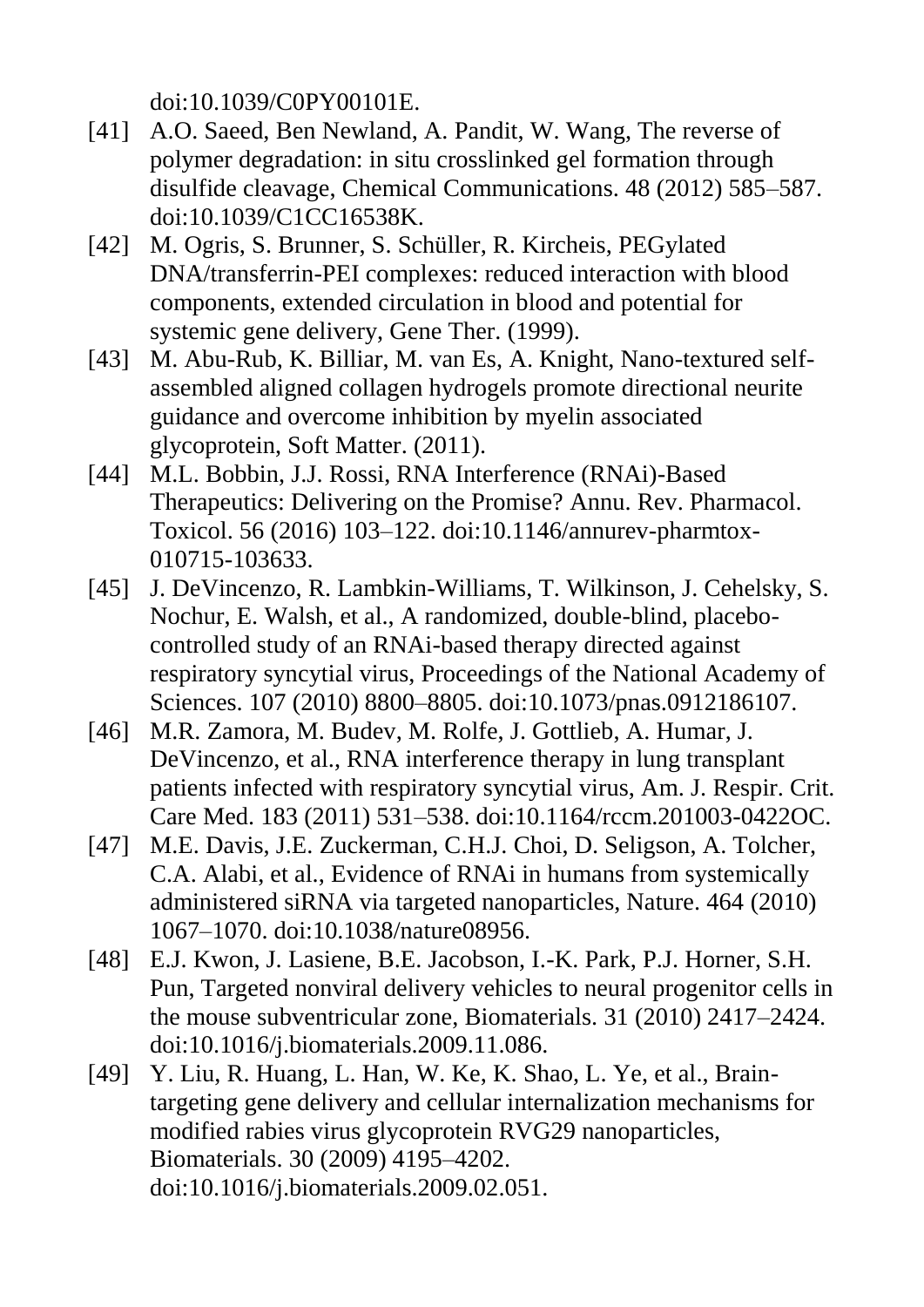doi:10.1039/C0PY00101E.

- [41] A.O. Saeed, Ben Newland, A. Pandit, W. Wang, The reverse of polymer degradation: in situ crosslinked gel formation through disulfide cleavage, Chemical Communications. 48 (2012) 585–587. doi:10.1039/C1CC16538K.
- [42] M. Ogris, S. Brunner, S. Schüller, R. Kircheis, PEGylated DNA/transferrin-PEI complexes: reduced interaction with blood components, extended circulation in blood and potential for systemic gene delivery, Gene Ther. (1999).
- [43] M. Abu-Rub, K. Billiar, M. van Es, A. Knight, Nano-textured selfassembled aligned collagen hydrogels promote directional neurite guidance and overcome inhibition by myelin associated glycoprotein, Soft Matter. (2011).
- [44] M.L. Bobbin, J.J. Rossi, RNA Interference (RNAi)-Based Therapeutics: Delivering on the Promise? Annu. Rev. Pharmacol. Toxicol. 56 (2016) 103–122. doi:10.1146/annurev-pharmtox-010715-103633.
- [45] J. DeVincenzo, R. Lambkin-Williams, T. Wilkinson, J. Cehelsky, S. Nochur, E. Walsh, et al., A randomized, double-blind, placebocontrolled study of an RNAi-based therapy directed against respiratory syncytial virus, Proceedings of the National Academy of Sciences. 107 (2010) 8800–8805. doi:10.1073/pnas.0912186107.
- [46] M.R. Zamora, M. Budev, M. Rolfe, J. Gottlieb, A. Humar, J. DeVincenzo, et al., RNA interference therapy in lung transplant patients infected with respiratory syncytial virus, Am. J. Respir. Crit. Care Med. 183 (2011) 531–538. doi:10.1164/rccm.201003-0422OC.
- [47] M.E. Davis, J.E. Zuckerman, C.H.J. Choi, D. Seligson, A. Tolcher, C.A. Alabi, et al., Evidence of RNAi in humans from systemically administered siRNA via targeted nanoparticles, Nature. 464 (2010) 1067–1070. doi:10.1038/nature08956.
- [48] E.J. Kwon, J. Lasiene, B.E. Jacobson, I.-K. Park, P.J. Horner, S.H. Pun, Targeted nonviral delivery vehicles to neural progenitor cells in the mouse subventricular zone, Biomaterials. 31 (2010) 2417–2424. doi:10.1016/j.biomaterials.2009.11.086.
- [49] Y. Liu, R. Huang, L. Han, W. Ke, K. Shao, L. Ye, et al., Braintargeting gene delivery and cellular internalization mechanisms for modified rabies virus glycoprotein RVG29 nanoparticles, Biomaterials. 30 (2009) 4195–4202. doi:10.1016/j.biomaterials.2009.02.051.